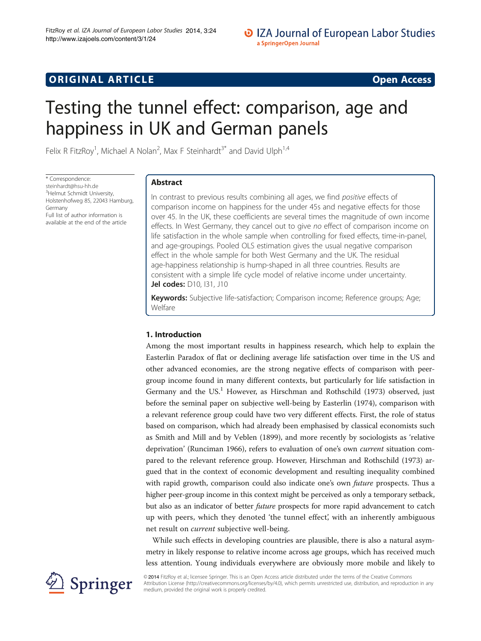# **ORIGINAL ARTICLE CONSUMING A LIGACION CONSUMING A LIGACION CONSUMING A LIGACION**

# Testing the tunnel effect: comparison, age and happiness in UK and German panels

Felix R FitzRoy<sup>1</sup>, Michael A Nolan<sup>2</sup>, Max F Steinhardt<sup>3\*</sup> and David Ulph<sup>1,4</sup>

\* Correspondence: [steinhardt@hsu-hh.de](mailto:steinhardt@hsu-hh.de) <sup>3</sup>Helmut Schmidt University, Holstenhofweg 85, 22043 Hamburg, Germany Full list of author information is available at the end of the article

# Abstract

In contrast to previous results combining all ages, we find positive effects of comparison income on happiness for the under 45s and negative effects for those over 45. In the UK, these coefficients are several times the magnitude of own income effects. In West Germany, they cancel out to give no effect of comparison income on life satisfaction in the whole sample when controlling for fixed effects, time-in-panel, and age-groupings. Pooled OLS estimation gives the usual negative comparison effect in the whole sample for both West Germany and the UK. The residual age-happiness relationship is hump-shaped in all three countries. Results are consistent with a simple life cycle model of relative income under uncertainty. **Jel codes: D10, 131, J10** 

Keywords: Subjective life-satisfaction; Comparison income; Reference groups; Age; Welfare

# 1. Introduction

Among the most important results in happiness research, which help to explain the Easterlin Paradox of flat or declining average life satisfaction over time in the US and other advanced economies, are the strong negative effects of comparison with peergroup income found in many different contexts, but particularly for life satisfaction in Germany and the US.<sup>1</sup> However, as Hirschman and Rothschild [\(1973\)](#page-29-0) observed, just before the seminal paper on subjective well-being by Easterlin ([1974](#page-28-0)), comparison with a relevant reference group could have two very different effects. First, the role of status based on comparison, which had already been emphasised by classical economists such as Smith and Mill and by Veblen ([1899\)](#page-29-0), and more recently by sociologists as 'relative deprivation' (Runciman [1966\)](#page-29-0), refers to evaluation of one's own *current* situation compared to the relevant reference group. However, Hirschman and Rothschild ([1973](#page-29-0)) argued that in the context of economic development and resulting inequality combined with rapid growth, comparison could also indicate one's own *future* prospects. Thus a higher peer-group income in this context might be perceived as only a temporary setback, but also as an indicator of better *future* prospects for more rapid advancement to catch up with peers, which they denoted 'the tunnel effect', with an inherently ambiguous net result on current subjective well-being.

While such effects in developing countries are plausible, there is also a natural asymmetry in likely response to relative income across age groups, which has received much less attention. Young individuals everywhere are obviously more mobile and likely to



© 2014 FitzRoy et al.; licensee Springer. This is an Open Access article distributed under the terms of the Creative Commons Attribution License [\(http://creativecommons.org/licenses/by/4.0\)](http://creativecommons.org/licenses/by/4.0), which permits unrestricted use, distribution, and reproduction in any medium, provided the original work is properly credited.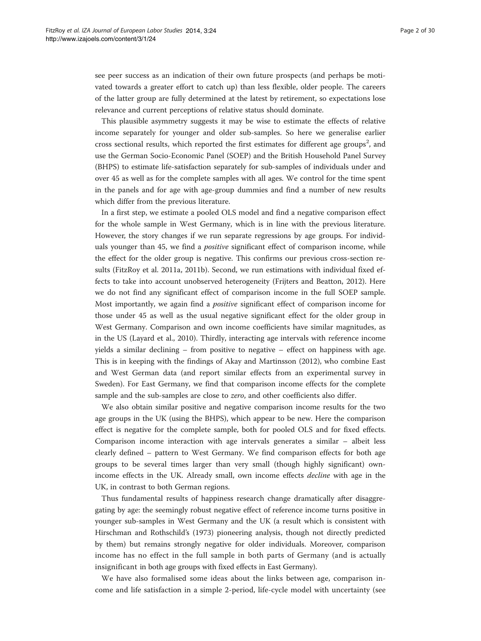see peer success as an indication of their own future prospects (and perhaps be motivated towards a greater effort to catch up) than less flexible, older people. The careers of the latter group are fully determined at the latest by retirement, so expectations lose relevance and current perceptions of relative status should dominate.

This plausible asymmetry suggests it may be wise to estimate the effects of relative income separately for younger and older sub-samples. So here we generalise earlier cross sectional results, which reported the first estimates for different age groups<sup>2</sup>, and use the German Socio-Economic Panel (SOEP) and the British Household Panel Survey (BHPS) to estimate life-satisfaction separately for sub-samples of individuals under and over 45 as well as for the complete samples with all ages. We control for the time spent in the panels and for age with age-group dummies and find a number of new results which differ from the previous literature.

In a first step, we estimate a pooled OLS model and find a negative comparison effect for the whole sample in West Germany, which is in line with the previous literature. However, the story changes if we run separate regressions by age groups. For individuals younger than 45, we find a *positive* significant effect of comparison income, while the effect for the older group is negative. This confirms our previous cross-section results (FitzRoy et al. [2011a, 2011b\)](#page-29-0). Second, we run estimations with individual fixed effects to take into account unobserved heterogeneity (Frijters and Beatton, [2012\)](#page-29-0). Here we do not find any significant effect of comparison income in the full SOEP sample. Most importantly, we again find a positive significant effect of comparison income for those under 45 as well as the usual negative significant effect for the older group in West Germany. Comparison and own income coefficients have similar magnitudes, as in the US (Layard et al., [2010\)](#page-29-0). Thirdly, interacting age intervals with reference income yields a similar declining – from positive to negative – effect on happiness with age. This is in keeping with the findings of Akay and Martinsson [\(2012](#page-28-0)), who combine East and West German data (and report similar effects from an experimental survey in Sweden). For East Germany, we find that comparison income effects for the complete sample and the sub-samples are close to zero, and other coefficients also differ.

We also obtain similar positive and negative comparison income results for the two age groups in the UK (using the BHPS), which appear to be new. Here the comparison effect is negative for the complete sample, both for pooled OLS and for fixed effects. Comparison income interaction with age intervals generates a similar – albeit less clearly defined – pattern to West Germany. We find comparison effects for both age groups to be several times larger than very small (though highly significant) ownincome effects in the UK. Already small, own income effects decline with age in the UK, in contrast to both German regions.

Thus fundamental results of happiness research change dramatically after disaggregating by age: the seemingly robust negative effect of reference income turns positive in younger sub-samples in West Germany and the UK (a result which is consistent with Hirschman and Rothschild's ([1973\)](#page-29-0) pioneering analysis, though not directly predicted by them) but remains strongly negative for older individuals. Moreover, comparison income has no effect in the full sample in both parts of Germany (and is actually insignificant in both age groups with fixed effects in East Germany).

We have also formalised some ideas about the links between age, comparison income and life satisfaction in a simple 2-period, life-cycle model with uncertainty (see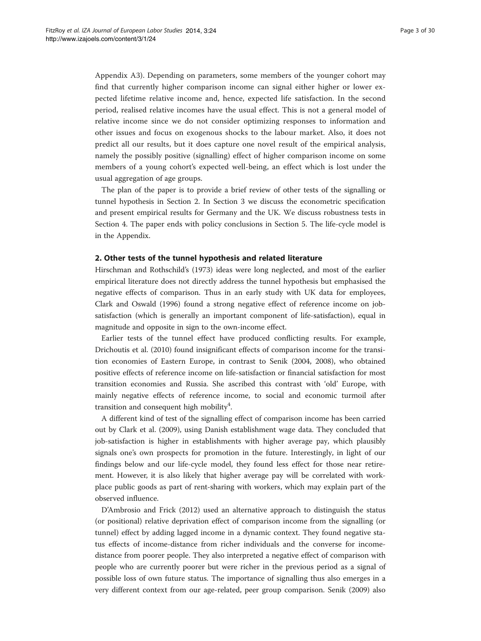Appendix [A3\)](#page-20-0). Depending on parameters, some members of the younger cohort may find that currently higher comparison income can signal either higher or lower expected lifetime relative income and, hence, expected life satisfaction. In the second period, realised relative incomes have the usual effect. This is not a general model of relative income since we do not consider optimizing responses to information and other issues and focus on exogenous shocks to the labour market. Also, it does not predict all our results, but it does capture one novel result of the empirical analysis, namely the possibly positive (signalling) effect of higher comparison income on some members of a young cohort's expected well-being, an effect which is lost under the usual aggregation of age groups.

The plan of the paper is to provide a brief review of other tests of the signalling or tunnel hypothesis in Section 2. In Section [3](#page-3-0) we discuss the econometric specification and present empirical results for Germany and the UK. We discuss robustness tests in Section [4.](#page-10-0) The paper ends with policy conclusions in Section [5](#page-15-0). The life-cycle model is in the [Appendix](#page-16-0).

#### 2. Other tests of the tunnel hypothesis and related literature

Hirschman and Rothschild's ([1973\)](#page-29-0) ideas were long neglected, and most of the earlier empirical literature does not directly address the tunnel hypothesis but emphasised the negative effects of comparison. Thus in an early study with UK data for employees, Clark and Oswald ([1996\)](#page-28-0) found a strong negative effect of reference income on jobsatisfaction (which is generally an important component of life-satisfaction), equal in magnitude and opposite in sign to the own-income effect.

Earlier tests of the tunnel effect have produced conflicting results. For example, Drichoutis et al. ([2010\)](#page-28-0) found insignificant effects of comparison income for the transition economies of Eastern Europe, in contrast to Senik [\(2004, 2008](#page-29-0)), who obtained positive effects of reference income on life-satisfaction or financial satisfaction for most transition economies and Russia. She ascribed this contrast with 'old' Europe, with mainly negative effects of reference income, to social and economic turmoil after transition and consequent high mobility $^4$ .

A different kind of test of the signalling effect of comparison income has been carried out by Clark et al. ([2009\)](#page-28-0), using Danish establishment wage data. They concluded that job-satisfaction is higher in establishments with higher average pay, which plausibly signals one's own prospects for promotion in the future. Interestingly, in light of our findings below and our life-cycle model, they found less effect for those near retirement. However, it is also likely that higher average pay will be correlated with workplace public goods as part of rent-sharing with workers, which may explain part of the observed influence.

D'Ambrosio and Frick ([2012\)](#page-28-0) used an alternative approach to distinguish the status (or positional) relative deprivation effect of comparison income from the signalling (or tunnel) effect by adding lagged income in a dynamic context. They found negative status effects of income-distance from richer individuals and the converse for incomedistance from poorer people. They also interpreted a negative effect of comparison with people who are currently poorer but were richer in the previous period as a signal of possible loss of own future status. The importance of signalling thus also emerges in a very different context from our age-related, peer group comparison. Senik [\(2009\)](#page-29-0) also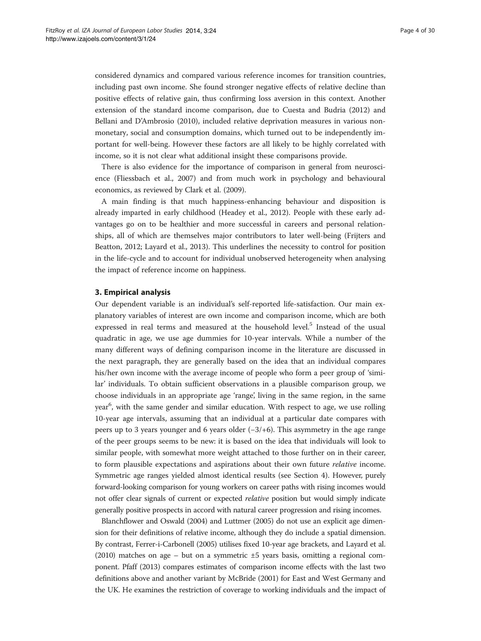<span id="page-3-0"></span>considered dynamics and compared various reference incomes for transition countries, including past own income. She found stronger negative effects of relative decline than positive effects of relative gain, thus confirming loss aversion in this context. Another extension of the standard income comparison, due to Cuesta and Budria ([2012](#page-28-0)) and Bellani and D'Ambrosio ([2010](#page-28-0)), included relative deprivation measures in various nonmonetary, social and consumption domains, which turned out to be independently important for well-being. However these factors are all likely to be highly correlated with income, so it is not clear what additional insight these comparisons provide.

There is also evidence for the importance of comparison in general from neuroscience (Fliessbach et al., [2007\)](#page-29-0) and from much work in psychology and behavioural economics, as reviewed by Clark et al. ([2009\)](#page-28-0).

A main finding is that much happiness-enhancing behaviour and disposition is already imparted in early childhood (Headey et al., [2012](#page-29-0)). People with these early advantages go on to be healthier and more successful in careers and personal relationships, all of which are themselves major contributors to later well-being (Frijters and Beatton, [2012](#page-29-0); Layard et al., [2013\)](#page-29-0). This underlines the necessity to control for position in the life-cycle and to account for individual unobserved heterogeneity when analysing the impact of reference income on happiness.

#### 3. Empirical analysis

Our dependent variable is an individual's self-reported life-satisfaction. Our main explanatory variables of interest are own income and comparison income, which are both expressed in real terms and measured at the household level.<sup>5</sup> Instead of the usual quadratic in age, we use age dummies for 10-year intervals. While a number of the many different ways of defining comparison income in the literature are discussed in the next paragraph, they are generally based on the idea that an individual compares his/her own income with the average income of people who form a peer group of 'similar' individuals. To obtain sufficient observations in a plausible comparison group, we choose individuals in an appropriate age 'range', living in the same region, in the same year $^6$ , with the same gender and similar education. With respect to age, we use rolling 10-year age intervals, assuming that an individual at a particular date compares with peers up to 3 years younger and 6 years older (−3/+6). This asymmetry in the age range of the peer groups seems to be new: it is based on the idea that individuals will look to similar people, with somewhat more weight attached to those further on in their career, to form plausible expectations and aspirations about their own future relative income. Symmetric age ranges yielded almost identical results (see Section [4\)](#page-10-0). However, purely forward-looking comparison for young workers on career paths with rising incomes would not offer clear signals of current or expected relative position but would simply indicate generally positive prospects in accord with natural career progression and rising incomes.

Blanchflower and Oswald ([2004\)](#page-28-0) and Luttmer ([2005\)](#page-29-0) do not use an explicit age dimension for their definitions of relative income, although they do include a spatial dimension. By contrast, Ferrer-i-Carbonell [\(2005\)](#page-29-0) utilises fixed 10-year age brackets, and Layard et al. ([2010\)](#page-29-0) matches on age – but on a symmetric  $\pm 5$  years basis, omitting a regional component. Pfaff [\(2013](#page-29-0)) compares estimates of comparison income effects with the last two definitions above and another variant by McBride ([2001\)](#page-29-0) for East and West Germany and the UK. He examines the restriction of coverage to working individuals and the impact of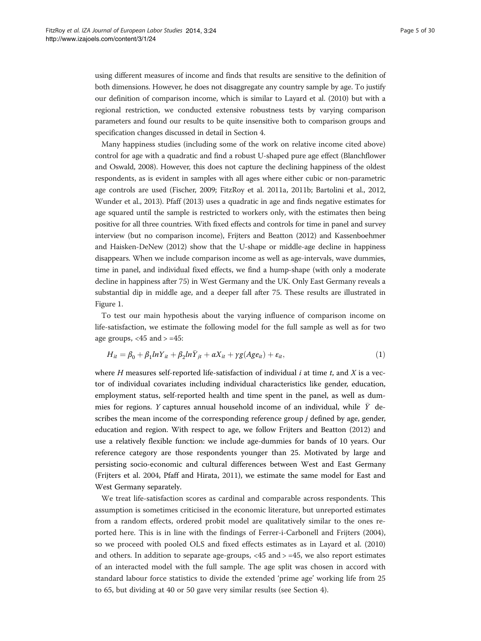using different measures of income and finds that results are sensitive to the definition of both dimensions. However, he does not disaggregate any country sample by age. To justify our definition of comparison income, which is similar to Layard et al. ([2010\)](#page-29-0) but with a regional restriction, we conducted extensive robustness tests by varying comparison parameters and found our results to be quite insensitive both to comparison groups and specification changes discussed in detail in Section [4.](#page-10-0)

Many happiness studies (including some of the work on relative income cited above) control for age with a quadratic and find a robust U-shaped pure age effect (Blanchflower and Oswald, [2008](#page-28-0)). However, this does not capture the declining happiness of the oldest respondents, as is evident in samples with all ages where either cubic or non-parametric age controls are used (Fischer, [2009;](#page-29-0) FitzRoy et al. [2011a, 2011b](#page-29-0); Bartolini et al., [2012](#page-28-0), Wunder et al., [2013\)](#page-29-0). Pfaff ([2013](#page-29-0)) uses a quadratic in age and finds negative estimates for age squared until the sample is restricted to workers only, with the estimates then being positive for all three countries. With fixed effects and controls for time in panel and survey interview (but no comparison income), Frijters and Beatton ([2012\)](#page-29-0) and Kassenboehmer and Haisken-DeNew [\(2012](#page-29-0)) show that the U-shape or middle-age decline in happiness disappears. When we include comparison income as well as age-intervals, wave dummies, time in panel, and individual fixed effects, we find a hump-shape (with only a moderate decline in happiness after 75) in West Germany and the UK. Only East Germany reveals a substantial dip in middle age, and a deeper fall after 75. These results are illustrated in Figure [1](#page-8-0).

To test our main hypothesis about the varying influence of comparison income on life-satisfaction, we estimate the following model for the full sample as well as for two age groups,  $<45$  and  $>=45$ :

$$
H_{it} = \beta_0 + \beta_1 ln Y_{it} + \beta_2 ln \bar{Y}_{jt} + \alpha X_{it} + \gamma g(Ag e_{it}) + \varepsilon_{it},
$$
\n(1)

where H measures self-reported life-satisfaction of individual  $i$  at time  $t$ , and  $X$  is a vector of individual covariates including individual characteristics like gender, education, employment status, self-reported health and time spent in the panel, as well as dummies for regions. Y captures annual household income of an individual, while Y describes the mean income of the corresponding reference group *j* defined by age, gender, education and region. With respect to age, we follow Frijters and Beatton ([2012\)](#page-29-0) and use a relatively flexible function: we include age-dummies for bands of 10 years. Our reference category are those respondents younger than 25. Motivated by large and persisting socio-economic and cultural differences between West and East Germany (Frijters et al. [2004,](#page-29-0) Pfaff and Hirata, [2011\)](#page-29-0), we estimate the same model for East and West Germany separately.

We treat life-satisfaction scores as cardinal and comparable across respondents. This assumption is sometimes criticised in the economic literature, but unreported estimates from a random effects, ordered probit model are qualitatively similar to the ones reported here. This is in line with the findings of Ferrer-i-Carbonell and Frijters ([2004](#page-28-0)), so we proceed with pooled OLS and fixed effects estimates as in Layard et al. ([2010](#page-29-0)) and others. In addition to separate age-groups,  $\langle 45 \rangle$  and  $> = 45$ , we also report estimates of an interacted model with the full sample. The age split was chosen in accord with standard labour force statistics to divide the extended 'prime age' working life from 25 to 65, but dividing at 40 or 50 gave very similar results (see Section [4\)](#page-10-0).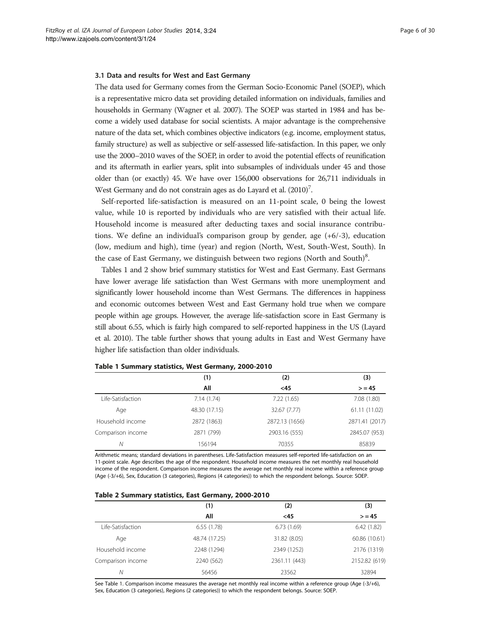#### <span id="page-5-0"></span>3.1 Data and results for West and East Germany

The data used for Germany comes from the German Socio-Economic Panel (SOEP), which is a representative micro data set providing detailed information on individuals, families and households in Germany (Wagner et al. [2007](#page-29-0)). The SOEP was started in 1984 and has become a widely used database for social scientists. A major advantage is the comprehensive nature of the data set, which combines objective indicators (e.g. income, employment status, family structure) as well as subjective or self-assessed life-satisfaction. In this paper, we only use the 2000–2010 waves of the SOEP, in order to avoid the potential effects of reunification and its aftermath in earlier years, split into subsamples of individuals under 45 and those older than (or exactly) 45. We have over 156,000 observations for 26,711 individuals in West Germany and do not constrain ages as do Layard et al.  $(2010)^7$  $(2010)^7$  $(2010)^7$ .

Self-reported life-satisfaction is measured on an 11-point scale, 0 being the lowest value, while 10 is reported by individuals who are very satisfied with their actual life. Household income is measured after deducting taxes and social insurance contributions. We define an individual's comparison group by gender, age (+6/-3), education (low, medium and high), time (year) and region (North, West, South-West, South). In the case of East Germany, we distinguish between two regions (North and South)<sup>8</sup>.

Tables 1 and 2 show brief summary statistics for West and East Germany. East Germans have lower average life satisfaction than West Germans with more unemployment and significantly lower household income than West Germans. The differences in happiness and economic outcomes between West and East Germany hold true when we compare people within age groups. However, the average life-satisfaction score in East Germany is still about 6.55, which is fairly high compared to self-reported happiness in the US (Layard et al. [2010\)](#page-29-0). The table further shows that young adults in East and West Germany have higher life satisfaction than older individuals.

|                   | (1)           | (2)            | (3)            |
|-------------------|---------------|----------------|----------------|
|                   | All           | $<$ 45         | > 45           |
| Life-Satisfaction | 7.14(1.74)    | 7.22(1.65)     | 7.08(1.80)     |
| Age               | 48.30 (17.15) | 32.67 (7.77)   | 61.11 (11.02)  |
| Household income  | 2872 (1863)   | 2872.13 (1656) | 2871.41 (2017) |
| Comparison income | 2871 (799)    | 2903.16 (555)  | 2845.07 (953)  |
| Ν                 | 156194        | 70355          | 85839          |

Table 1 Summary statistics, West Germany, 2000-2010

Arithmetic means; standard deviations in parentheses. Life-Satisfaction measures self-reported life-satisfaction on an 11-point scale. Age describes the age of the respondent. Household income measures the net monthly real household income of the respondent. Comparison income measures the average net monthly real income within a reference group (Age (-3/+6), Sex, Education (3 categories), Regions (4 categories)) to which the respondent belongs. Source: SOEP.

#### Table 2 Summary statistics, East Germany, 2000-2010

|                   | (1)           | (2)           | (3)           |
|-------------------|---------------|---------------|---------------|
|                   | All           | <45           | > 45          |
| Life-Satisfaction | 6.55(1.78)    | 6.73(1.69)    | 6.42(1.82)    |
| Age               | 48.74 (17.25) | 31.82 (8.05)  | 60.86 (10.61) |
| Household income  | 2248 (1294)   | 2349 (1252)   | 2176 (1319)   |
| Comparison income | 2240 (562)    | 2361.11 (443) | 2152.82 (619) |
| N                 | 56456         | 23562         | 32894         |

See Table 1. Comparison income measures the average net monthly real income within a reference group (Age (-3/+6), Sex, Education (3 categories), Regions (2 categories)) to which the respondent belongs. Source: SOEP.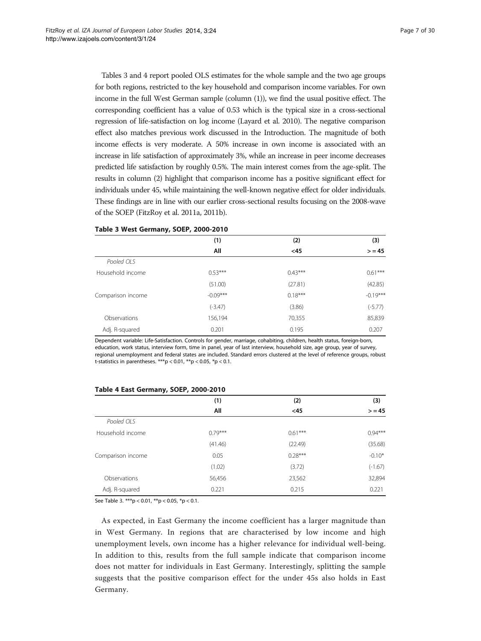<span id="page-6-0"></span>Tables 3 and 4 report pooled OLS estimates for the whole sample and the two age groups for both regions, restricted to the key household and comparison income variables. For own income in the full West German sample (column (1)), we find the usual positive effect. The corresponding coefficient has a value of 0.53 which is the typical size in a cross-sectional regression of life-satisfaction on log income (Layard et al. [2010\)](#page-29-0). The negative comparison effect also matches previous work discussed in the Introduction. The magnitude of both income effects is very moderate. A 50% increase in own income is associated with an increase in life satisfaction of approximately 3%, while an increase in peer income decreases predicted life satisfaction by roughly 0.5%. The main interest comes from the age-split. The results in column (2) highlight that comparison income has a positive significant effect for individuals under 45, while maintaining the well-known negative effect for older individuals. These findings are in line with our earlier cross-sectional results focusing on the 2008-wave of the SOEP (FitzRoy et al. [2011a, 2011b](#page-29-0)).

|                   | (1)        | (2)       | (3)        |
|-------------------|------------|-----------|------------|
|                   | All        | <45       | > 45       |
| Pooled OLS        |            |           |            |
| Household income  | $0.53***$  | $0.43***$ | $0.61***$  |
|                   | (51.00)    | (27.81)   | (42.85)    |
| Comparison income | $-0.09***$ | $0.18***$ | $-0.19***$ |
|                   | $(-3.47)$  | (3.86)    | $(-5.77)$  |
| Observations      | 156,194    | 70,355    | 85,839     |
| Adj. R-squared    | 0.201      | 0.195     | 0.207      |

|  |  |  |  | Table 3 West Germany, SOEP, 2000-2010 |
|--|--|--|--|---------------------------------------|
|--|--|--|--|---------------------------------------|

Dependent variable: Life-Satisfaction. Controls for gender, marriage, cohabiting, children, health status, foreign-born, education, work status, interview form, time in panel, year of last interview, household size, age group, year of survey, regional unemployment and federal states are included. Standard errors clustered at the level of reference groups, robust t-statistics in parentheses. \*\*\*p < 0.01, \*\*p < 0.05, \*p < 0.1.

|                   | (1)       | (2)       | (3)       |
|-------------------|-----------|-----------|-----------|
|                   | All       | <45       | > 45      |
| Pooled OLS        |           |           |           |
| Household income  | $0.79***$ | $0.61***$ | $0.94***$ |
|                   | (41.46)   | (22.49)   | (35.68)   |
| Comparison income | 0.05      | $0.28***$ | $-0.10*$  |
|                   | (1.02)    | (3.72)    | $(-1.67)$ |
| Observations      | 56,456    | 23,562    | 32,894    |
| Adj. R-squared    | 0.221     | 0.215     | 0.221     |

See Table 3. \*\*\*p < 0.01, \*\*p < 0.05, \*p < 0.1.

As expected, in East Germany the income coefficient has a larger magnitude than in West Germany. In regions that are characterised by low income and high unemployment levels, own income has a higher relevance for individual well-being. In addition to this, results from the full sample indicate that comparison income does not matter for individuals in East Germany. Interestingly, splitting the sample suggests that the positive comparison effect for the under 45s also holds in East Germany.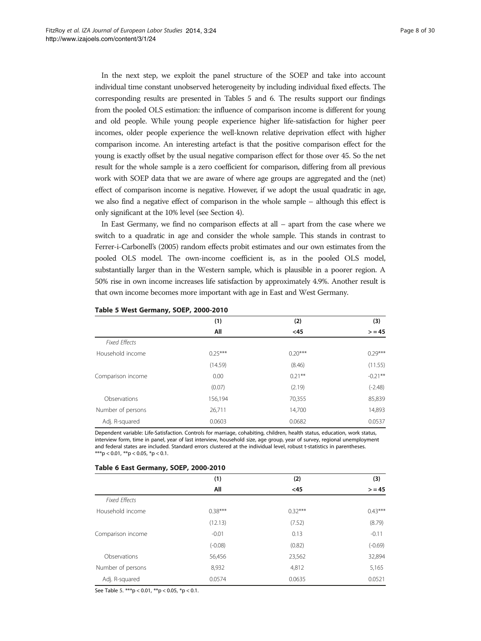<span id="page-7-0"></span>In the next step, we exploit the panel structure of the SOEP and take into account individual time constant unobserved heterogeneity by including individual fixed effects. The corresponding results are presented in Tables 5 and 6. The results support our findings from the pooled OLS estimation: the influence of comparison income is different for young and old people. While young people experience higher life-satisfaction for higher peer incomes, older people experience the well-known relative deprivation effect with higher comparison income. An interesting artefact is that the positive comparison effect for the young is exactly offset by the usual negative comparison effect for those over 45. So the net result for the whole sample is a zero coefficient for comparison, differing from all previous work with SOEP data that we are aware of where age groups are aggregated and the (net) effect of comparison income is negative. However, if we adopt the usual quadratic in age, we also find a negative effect of comparison in the whole sample – although this effect is only significant at the 10% level (see Section [4\)](#page-10-0).

In East Germany, we find no comparison effects at all – apart from the case where we switch to a quadratic in age and consider the whole sample. This stands in contrast to Ferrer-i-Carbonell's [\(2005](#page-29-0)) random effects probit estimates and our own estimates from the pooled OLS model. The own-income coefficient is, as in the pooled OLS model, substantially larger than in the Western sample, which is plausible in a poorer region. A 50% rise in own income increases life satisfaction by approximately 4.9%. Another result is that own income becomes more important with age in East and West Germany.

|                      | (1)       | (2)       | (3)        |
|----------------------|-----------|-----------|------------|
|                      | All       | <45       | > 45       |
| <b>Fixed Effects</b> |           |           |            |
| Household income     | $0.25***$ | $0.20***$ | $0.29***$  |
|                      | (14.59)   | (8.46)    | (11.55)    |
| Comparison income    | 0.00      | $0.21***$ | $-0.21***$ |
|                      | (0.07)    | (2.19)    | $(-2.48)$  |
| Observations         | 156,194   | 70,355    | 85,839     |
| Number of persons    | 26,711    | 14,700    | 14,893     |
| Adj. R-squared       | 0.0603    | 0.0682    | 0.0537     |

# Table 5 West Germany, SOEP, 2000-2010

Dependent variable: Life-Satisfaction. Controls for marriage, cohabiting, children, health status, education, work status, interview form, time in panel, year of last interview, household size, age group, year of survey, regional unemployment and federal states are included. Standard errors clustered at the individual level, robust t-statistics in parentheses. \*\*\*p < 0.01, \*\*p < 0.05, \*p < 0.1.

|                      | (1)       | (2)       | (3)       |
|----------------------|-----------|-----------|-----------|
|                      | All       | <45       | > 45      |
| <b>Fixed Effects</b> |           |           |           |
| Household income     | $0.38***$ | $0.32***$ | $0.43***$ |
|                      | (12.13)   | (7.52)    | (8.79)    |
| Comparison income    | $-0.01$   | 0.13      | $-0.11$   |
|                      | $(-0.08)$ | (0.82)    | $(-0.69)$ |
| Observations         | 56,456    | 23,562    | 32,894    |
| Number of persons    | 8,932     | 4,812     | 5,165     |
| Adj. R-squared       | 0.0574    | 0.0635    | 0.0521    |

Table 6 East Germany, SOEP, 2000-2010

See Table 5. \*\*\*p < 0.01, \*\*p < 0.05, \*p < 0.1.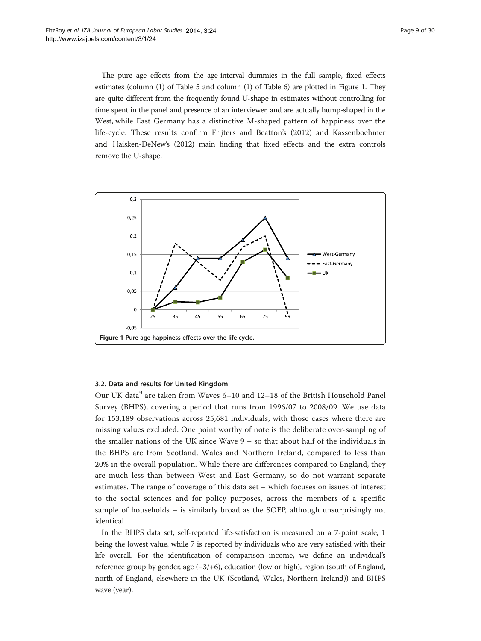<span id="page-8-0"></span>The pure age effects from the age-interval dummies in the full sample, fixed effects estimates (column (1) of Table [5](#page-7-0) and column (1) of Table [6](#page-7-0)) are plotted in Figure 1. They are quite different from the frequently found U-shape in estimates without controlling for time spent in the panel and presence of an interviewer, and are actually hump-shaped in the West, while East Germany has a distinctive M-shaped pattern of happiness over the life-cycle. These results confirm Frijters and Beatton's [\(2012](#page-29-0)) and Kassenboehmer and Haisken-DeNew's ([2012\)](#page-29-0) main finding that fixed effects and the extra controls remove the U-shape.



# 3.2. Data and results for United Kingdom

Our UK data<sup>9</sup> are taken from Waves 6-10 and 12-18 of the British Household Panel Survey (BHPS), covering a period that runs from 1996/07 to 2008/09. We use data for 153,189 observations across 25,681 individuals, with those cases where there are missing values excluded. One point worthy of note is the deliberate over-sampling of the smaller nations of the UK since Wave  $9 -$  so that about half of the individuals in the BHPS are from Scotland, Wales and Northern Ireland, compared to less than 20% in the overall population. While there are differences compared to England, they are much less than between West and East Germany, so do not warrant separate estimates. The range of coverage of this data set – which focuses on issues of interest to the social sciences and for policy purposes, across the members of a specific sample of households – is similarly broad as the SOEP, although unsurprisingly not identical.

In the BHPS data set, self-reported life-satisfaction is measured on a 7-point scale, 1 being the lowest value, while 7 is reported by individuals who are very satisfied with their life overall. For the identification of comparison income, we define an individual's reference group by gender, age (−3/+6), education (low or high), region (south of England, north of England, elsewhere in the UK (Scotland, Wales, Northern Ireland)) and BHPS wave (year).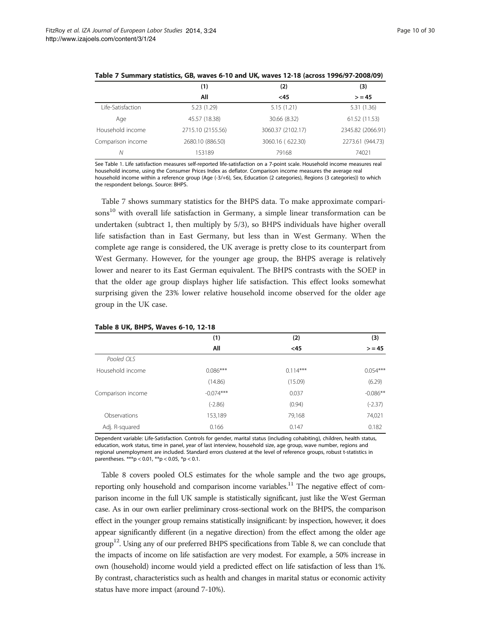|                   | (1)               | (2)               | (3)               |
|-------------------|-------------------|-------------------|-------------------|
|                   | All               | <45               | > 45              |
| Life-Satisfaction | 5.23 (1.29)       | 5.15(1.21)        | 5.31 (1.36)       |
| Age               | 45.57 (18.38)     | 30.66 (8.32)      | 61.52 (11.53)     |
| Household income  | 2715.10 (2155.56) | 3060.37 (2102.17) | 2345.82 (2066.91) |
| Comparison income | 2680.10 (886.50)  | 3060.16 (622.30)  | 2273.61 (944.73)  |
| Ν                 | 153189            | 79168             | 74021             |

<span id="page-9-0"></span>

|  |  |  |  |  |  |  |  | Table 7 Summary statistics, GB, waves 6-10 and UK, waves 12-18 (across 1996/97-2008/09) |
|--|--|--|--|--|--|--|--|-----------------------------------------------------------------------------------------|
|--|--|--|--|--|--|--|--|-----------------------------------------------------------------------------------------|

See Table [1.](#page-5-0) Life satisfaction measures self-reported life-satisfaction on a 7-point scale. Household income measures real household income, using the Consumer Prices Index as deflator. Comparison income measures the average real household income within a reference group (Age (-3/+6), Sex, Education (2 categories), Regions (3 categories)) to which the respondent belongs. Source: BHPS.

Table 7 shows summary statistics for the BHPS data. To make approximate comparisons<sup>10</sup> with overall life satisfaction in Germany, a simple linear transformation can be undertaken (subtract 1, then multiply by 5/3), so BHPS individuals have higher overall life satisfaction than in East Germany, but less than in West Germany. When the complete age range is considered, the UK average is pretty close to its counterpart from West Germany. However, for the younger age group, the BHPS average is relatively lower and nearer to its East German equivalent. The BHPS contrasts with the SOEP in that the older age group displays higher life satisfaction. This effect looks somewhat surprising given the 23% lower relative household income observed for the older age group in the UK case.

|                   | (1)         | (2)        | (3)        |
|-------------------|-------------|------------|------------|
|                   | All         | <45        | > 45       |
| Pooled OLS        |             |            |            |
| Household income  | $0.086***$  | $0.114***$ | $0.054***$ |
|                   | (14.86)     | (15.09)    | (6.29)     |
| Comparison income | $-0.074***$ | 0.037      | $-0.086**$ |
|                   | $(-2.86)$   | (0.94)     | $(-2.37)$  |
| Observations      | 153,189     | 79,168     | 74,021     |
| Adj. R-squared    | 0.166       | 0.147      | 0.182      |

#### Table 8 UK, BHPS, Waves 6-10, 12-18

Dependent variable: Life-Satisfaction. Controls for gender, marital status (including cohabiting), children, health status, education, work status, time in panel, year of last interview, household size, age group, wave number, regions and regional unemployment are included. Standard errors clustered at the level of reference groups, robust t-statistics in parentheses. \*\*\*p < 0.01, \*\*p < 0.05, \*p < 0.1.

Table 8 covers pooled OLS estimates for the whole sample and the two age groups, reporting only household and comparison income variables.<sup>11</sup> The negative effect of comparison income in the full UK sample is statistically significant, just like the West German case. As in our own earlier preliminary cross-sectional work on the BHPS, the comparison effect in the younger group remains statistically insignificant: by inspection, however, it does appear significantly different (in a negative direction) from the effect among the older age  $\text{group}^{12}$ . Using any of our preferred BHPS specifications from Table 8, we can conclude that the impacts of income on life satisfaction are very modest. For example, a 50% increase in own (household) income would yield a predicted effect on life satisfaction of less than 1%. By contrast, characteristics such as health and changes in marital status or economic activity status have more impact (around 7-10%).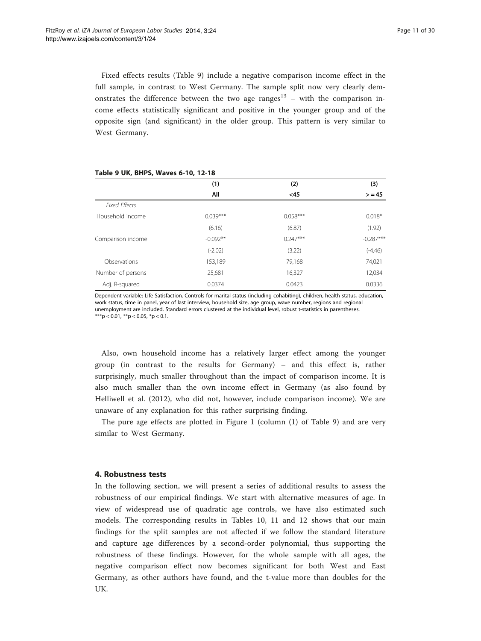<span id="page-10-0"></span>Fixed effects results (Table 9) include a negative comparison income effect in the full sample, in contrast to West Germany. The sample split now very clearly demonstrates the difference between the two age ranges<sup>13</sup> – with the comparison income effects statistically significant and positive in the younger group and of the opposite sign (and significant) in the older group. This pattern is very similar to West Germany.

| (1)        | (2)        | (3)         |
|------------|------------|-------------|
| All        | $<$ 45     | > 45        |
|            |            |             |
| $0.039***$ | $0.058***$ | $0.018*$    |
| (6.16)     | (6.87)     | (1.92)      |
| $-0.092**$ | $0.247***$ | $-0.287***$ |
| $(-2.02)$  | (3.22)     | $(-4.46)$   |
| 153,189    | 79,168     | 74,021      |
| 25,681     | 16,327     | 12,034      |
| 0.0374     | 0.0423     | 0.0336      |
|            |            |             |

## Table 9 UK, BHPS, Waves 6-10, 12-18

Dependent variable: Life-Satisfaction. Controls for marital status (including cohabiting), children, health status, education, work status, time in panel, year of last interview, household size, age group, wave number, regions and regional unemployment are included. Standard errors clustered at the individual level, robust t-statistics in parentheses. \*\*\*p < 0.01, \*\*p < 0.05, \*p < 0.1.

Also, own household income has a relatively larger effect among the younger group (in contrast to the results for Germany) – and this effect is, rather surprisingly, much smaller throughout than the impact of comparison income. It is also much smaller than the own income effect in Germany (as also found by Helliwell et al. ([2012\)](#page-29-0), who did not, however, include comparison income). We are unaware of any explanation for this rather surprising finding.

The pure age effects are plotted in Figure [1](#page-8-0) (column (1) of Table 9) and are very similar to West Germany.

#### 4. Robustness tests

In the following section, we will present a series of additional results to assess the robustness of our empirical findings. We start with alternative measures of age. In view of widespread use of quadratic age controls, we have also estimated such models. The corresponding results in Tables [10](#page-11-0), [11](#page-11-0) and [12](#page-11-0) shows that our main findings for the split samples are not affected if we follow the standard literature and capture age differences by a second-order polynomial, thus supporting the robustness of these findings. However, for the whole sample with all ages, the negative comparison effect now becomes significant for both West and East Germany, as other authors have found, and the t-value more than doubles for the UK.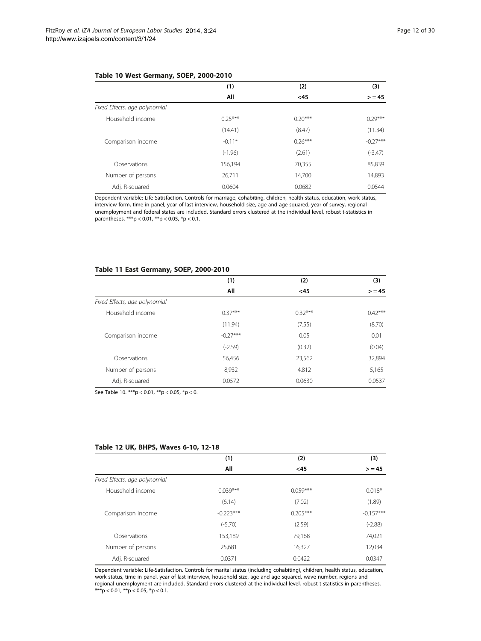#### <span id="page-11-0"></span>Table 10 West Germany, SOEP, 2000-2010

|                               | (1)       | (2)       | (3)        |
|-------------------------------|-----------|-----------|------------|
|                               | All       | <45       | > 45       |
| Fixed Effects, age polynomial |           |           |            |
| Household income              | $0.25***$ | $0.20***$ | $0.29***$  |
|                               | (14.41)   | (8.47)    | (11.34)    |
| Comparison income             | $-0.11*$  | $0.26***$ | $-0.27***$ |
|                               | $(-1.96)$ | (2.61)    | $(-3.47)$  |
| Observations                  | 156,194   | 70,355    | 85,839     |
| Number of persons             | 26,711    | 14,700    | 14,893     |
| Adj. R-squared                | 0.0604    | 0.0682    | 0.0544     |

Dependent variable: Life-Satisfaction. Controls for marriage, cohabiting, children, health status, education, work status, interview form, time in panel, year of last interview, household size, age and age squared, year of survey, regional unemployment and federal states are included. Standard errors clustered at the individual level, robust t-statistics in parentheses.  $***p < 0.01$ ,  $**p < 0.05$ ,  $*p < 0.1$ .

# Table 11 East Germany, SOEP, 2000-2010

|                               | (1)        | (2)       | (3)       |
|-------------------------------|------------|-----------|-----------|
|                               | All        | <45       | > 45      |
| Fixed Effects, age polynomial |            |           |           |
| Household income              | $0.37***$  | $0.32***$ | $0.42***$ |
|                               | (11.94)    | (7.55)    | (8.70)    |
| Comparison income             | $-0.27***$ | 0.05      | 0.01      |
|                               | $(-2.59)$  | (0.32)    | (0.04)    |
| Observations                  | 56,456     | 23,562    | 32,894    |
| Number of persons             | 8.932      | 4,812     | 5,165     |
| Adj. R-squared                | 0.0572     | 0.0630    | 0.0537    |

See Table 10. \*\*\*  $p < 0.01$ , \*\* $p < 0.05$ , \* $p < 0$ .

# Table 12 UK, BHPS, Waves 6-10, 12-18

|                               | (1)         | (2)        | (3)         |
|-------------------------------|-------------|------------|-------------|
|                               | All         | <45        | > 45        |
| Fixed Effects, age polynomial |             |            |             |
| Household income              | $0.039***$  | $0.059***$ | $0.018*$    |
|                               | (6.14)      | (7.02)     | (1.89)      |
| Comparison income             | $-0.223***$ | $0.205***$ | $-0.157***$ |
|                               | $(-5.70)$   | (2.59)     | $(-2.88)$   |
| Observations                  | 153,189     | 79.168     | 74,021      |
| Number of persons             | 25,681      | 16,327     | 12,034      |
| Adj. R-squared                | 0.0371      | 0.0422     | 0.0347      |

Dependent variable: Life-Satisfaction. Controls for marital status (including cohabiting), children, health status, education, work status, time in panel, year of last interview, household size, age and age squared, wave number, regions and regional unemployment are included. Standard errors clustered at the individual level, robust t-statistics in parentheses. \*\*\*p < 0.01, \*\*p < 0.05, \*p < 0.1.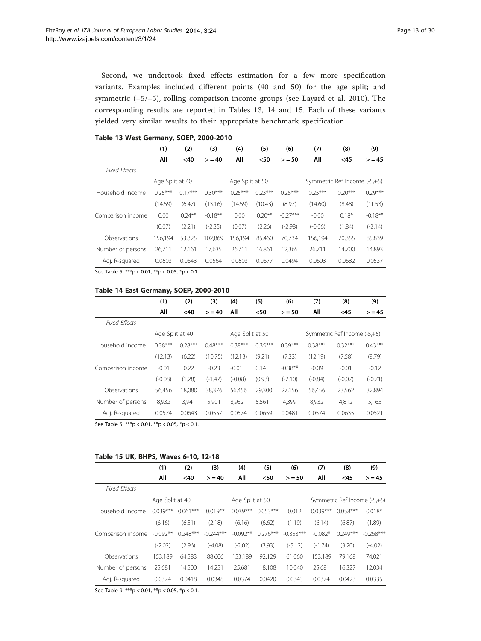Second, we undertook fixed effects estimation for a few more specification variants. Examples included different points (40 and 50) for the age split; and symmetric (−5/+5), rolling comparison income groups (see Layard et al. [2010\)](#page-29-0). The corresponding results are reported in Tables 13, 14 and 15. Each of these variants yielded very similar results to their appropriate benchmark specification.

|                      | (1)             | (2)       | (3)        | (4)             | (5)       | (6)        | (7)       | (8)                          | (9)       |
|----------------------|-----------------|-----------|------------|-----------------|-----------|------------|-----------|------------------------------|-----------|
|                      | All             | <40       | > 40       | All             | $50$      | > 50       | All       | <45                          | > 45      |
| <b>Fixed Effects</b> |                 |           |            |                 |           |            |           |                              |           |
|                      | Age Split at 40 |           |            | Age Split at 50 |           |            |           | Symmetric Ref Income (-5,+5) |           |
| Household income     | $0.25***$       | $0.17***$ | $0.30***$  | $0.25***$       | $0.23***$ | $0.25***$  | $0.25***$ | $0.20***$                    | $0.29***$ |
|                      | (14.59)         | (6.47)    | (13.16)    | (14.59)         | (10.43)   | (8.97)     | (14.60)   | (8.48)                       | (11.53)   |
| Comparison income    | 0.00            | $0.24***$ | $-0.18***$ | 0.00            | $0.20**$  | $-0.27***$ | $-0.00$   | $0.18*$                      | $-0.18**$ |
|                      | (0.07)          | (2.21)    | $(-2.35)$  | (0.07)          | (2.26)    | $(-2.98)$  | $(-0.06)$ | (1.84)                       | $(-2.14)$ |
| Observations         | 156,194         | 53,325    | 102.869    | 156,194         | 85,460    | 70,734     | 156,194   | 70,355                       | 85,839    |
| Number of persons    | 26,711          | 12,161    | 17,635     | 26,711          | 16.861    | 12,365     | 26,711    | 14,700                       | 14,893    |
| Adj. R-squared       | 0.0603          | 0.0643    | 0.0564     | 0.0603          | 0.0677    | 0.0494     | 0.0603    | 0.0682                       | 0.0537    |

# Table 13 West Germany, SOEP, 2000-2010

See Table [5.](#page-7-0) \*\*\*p < 0.01, \*\*p < 0.05, \*p < 0.1.

#### Table 14 East Germany, SOEP, 2000-2010

|                      | (1)             | (2)       | (3)       | (4)             | (5)       | (6)       | (7)       | (8)                          | (9)       |
|----------------------|-----------------|-----------|-----------|-----------------|-----------|-----------|-----------|------------------------------|-----------|
|                      | All             | <40       | > 40      | All             | $50$      | > 50      | All       | <45                          | > 45      |
| <b>Fixed Effects</b> |                 |           |           |                 |           |           |           |                              |           |
|                      | Age Split at 40 |           |           | Age Split at 50 |           |           |           | Symmetric Ref Income (-5,+5) |           |
| Household income     | $0.38***$       | $0.28***$ | $0.48***$ | $0.38***$       | $0.35***$ | $0.39***$ | $0.38***$ | $0.32***$                    | $0.43***$ |
|                      | (12.13)         | (6.22)    | (10.75)   | (12.13)         | (9.21)    | (7.33)    | (12.19)   | (7.58)                       | (8.79)    |
| Comparison income    | $-0.01$         | 0.22      | $-0.23$   | $-0.01$         | 0.14      | $-0.38**$ | $-0.09$   | $-0.01$                      | $-0.12$   |
|                      | $(-0.08)$       | (1.28)    | $(-1.47)$ | $(-0.08)$       | (0.93)    | $(-2.10)$ | $(-0.84)$ | $(-0.07)$                    | $(-0.71)$ |
| Observations         | 56,456          | 18,080    | 38,376    | 56.456          | 29,300    | 27,156    | 56,456    | 23,562                       | 32,894    |
| Number of persons    | 8,932           | 3,941     | 5,901     | 8,932           | 5,561     | 4,399     | 8,932     | 4,812                        | 5,165     |
| Adj. R-squared       | 0.0574          | 0.0643    | 0.0557    | 0.0574          | 0.0659    | 0.0481    | 0.0574    | 0.0635                       | 0.0521    |

See Table [5.](#page-7-0) \*\*\*p < 0.01, \*\*p < 0.05, \*p < 0.1.

# Table 15 UK, BHPS, Waves 6-10, 12-18

|                      | (1)             | (2)        | (3)         | (4)             | (5)        | (6)         | (7)        | (8)                          | (9)         |
|----------------------|-----------------|------------|-------------|-----------------|------------|-------------|------------|------------------------------|-------------|
|                      | All             | <40        | > 40        | All             | $50$       | > 50        | All        | <45                          | > 45        |
| <b>Fixed Effects</b> |                 |            |             |                 |            |             |            |                              |             |
|                      | Age Split at 40 |            |             | Age Split at 50 |            |             |            | Symmetric Ref Income (-5,+5) |             |
| Household income     | $0.039***$      | $0.061***$ | $0.019**$   | $0.039***$      | $0.053***$ | 0.012       | $0.039***$ | $0.058***$                   | $0.018*$    |
|                      | (6.16)          | (6.51)     | (2.18)      | (6.16)          | (6.62)     | (1.19)      | (6.14)     | (6.87)                       | (1.89)      |
| Comparison income    | $-0.092**$      | $0.248***$ | $-0.244***$ | $-0.092**$      | $0.276***$ | $-0.353***$ | $-0.082*$  | $0.249***$                   | $-0.268***$ |
|                      | $(-2.02)$       | (2.96)     | $(-4.08)$   | $(-2.02)$       | (3.93)     | $(-5.12)$   | $(-1.74)$  | (3.20)                       | $(-4.02)$   |
| Observations         | 153,189         | 64,583     | 88,606      | 153,189         | 92,129     | 61,060      | 153,189    | 79,168                       | 74,021      |
| Number of persons    | 25.681          | 14.500     | 14,251      | 25.681          | 18.108     | 10.040      | 25.681     | 16.327                       | 12,034      |
| Adj. R-squared       | 0.0374          | 0.0418     | 0.0348      | 0.0374          | 0.0420     | 0.0343      | 0.0374     | 0.0423                       | 0.0335      |

See Table [9.](#page-10-0) \*\*\*p < 0.01, \*\*p < 0.05, \*p < 0.1.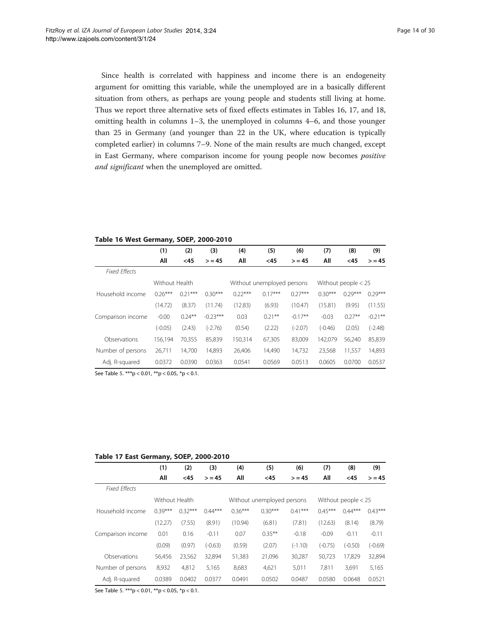Since health is correlated with happiness and income there is an endogeneity argument for omitting this variable, while the unemployed are in a basically different situation from others, as perhaps are young people and students still living at home. Thus we report three alternative sets of fixed effects estimates in Tables 16, 17, and [18](#page-14-0), omitting health in columns 1–3, the unemployed in columns 4–6, and those younger than 25 in Germany (and younger than 22 in the UK, where education is typically completed earlier) in columns 7–9. None of the main results are much changed, except in East Germany, where comparison income for young people now becomes positive and significant when the unemployed are omitted.

Table 16 West Germany, SOEP, 2000-2010

|                      | (1)            | (2)       | (3)        | (4)       | (5)                        | (6)       | (7)       | (8)                   | (9)        |
|----------------------|----------------|-----------|------------|-----------|----------------------------|-----------|-----------|-----------------------|------------|
|                      | All            | <45       | > 45       | All       | <45                        | > 45      | All       | <45                   | > 45       |
| <b>Fixed Effects</b> |                |           |            |           |                            |           |           |                       |            |
|                      | Without Health |           |            |           | Without unemployed persons |           |           | Without people $<$ 25 |            |
| Household income     | $0.26***$      | $0.21***$ | $0.30***$  | $0.22***$ | $0.17***$                  | $0.27***$ | $0.30***$ | $0.29***$             | $0.29***$  |
|                      | (14.72)        | (8.37)    | (11.74)    | (12.83)   | (6.93)                     | (10.47)   | (15.81)   | (9.95)                | (11.55)    |
| Comparison income    | $-0.00$        | $0.24***$ | $-0.23***$ | 0.03      | $0.21***$                  | $-0.17**$ | $-0.03$   | $0.27***$             | $-0.21***$ |
|                      | $(-0.05)$      | (2.43)    | $(-2.76)$  | (0.54)    | (2.22)                     | $(-2.07)$ | $(-0.46)$ | (2.05)                | $(-2.48)$  |
| Observations         | 156,194        | 70,355    | 85,839     | 150,314   | 67,305                     | 83,009    | 142,079   | 56,240                | 85,839     |
| Number of persons    | 26.711         | 14.700    | 14.893     | 26,406    | 14.490                     | 14.732    | 23.568    | 11.557                | 14,893     |
| Adj. R-squared       | 0.0372         | 0.0390    | 0.0363     | 0.0541    | 0.0569                     | 0.0513    | 0.0605    | 0.0700                | 0.0537     |
| _ _                  |                |           |            |           |                            |           |           |                       |            |

See Table [5.](#page-7-0) \*\*\*p < 0.01, \*\*p < 0.05, \*p < 0.1.

Table 17 East Germany, SOEP, 2000-2010

|                      | (1)            | (2)       | (3)       | (4)       | (5)                        | (6)       | (7)       | (8)                   | (9)       |
|----------------------|----------------|-----------|-----------|-----------|----------------------------|-----------|-----------|-----------------------|-----------|
|                      | All            | <45       | > 45      | All       | <45                        | > 45      | All       | <45                   | > 45      |
| <b>Fixed Effects</b> |                |           |           |           |                            |           |           |                       |           |
|                      | Without Health |           |           |           | Without unemployed persons |           |           | Without people $<$ 25 |           |
| Household income     | $0.39***$      | $0.32***$ | $0.44***$ | $0.36***$ | $0.30***$                  | $0.41***$ | $0.45***$ | $0.44***$             | $0.43***$ |
|                      | (12.27)        | (7.55)    | (8.91)    | (10.94)   | (6.81)                     | (7.81)    | (12.63)   | (8.14)                | (8.79)    |
| Comparison income    | 0.01           | 0.16      | $-0.11$   | 0.07      | $0.35***$                  | $-0.18$   | $-0.09$   | $-0.11$               | $-0.11$   |
|                      | (0.09)         | (0.97)    | $(-0.63)$ | (0.59)    | (2.07)                     | $(-1.10)$ | (-0.75)   | $(-0.50)$             | $(-0.69)$ |
| Observations         | 56,456         | 23,562    | 32,894    | 51,383    | 21,096                     | 30,287    | 50.723    | 17.829                | 32,894    |
| Number of persons    | 8.932          | 4.812     | 5.165     | 8,683     | 4,621                      | 5,011     | 7,811     | 3.691                 | 5,165     |
| Adj. R-squared       | 0.0389         | 0.0402    | 0.0377    | 0.0491    | 0.0502                     | 0.0487    | 0.0580    | 0.0648                | 0.0521    |

See Table [5.](#page-7-0) \*\*\*p < 0.01, \*\*p < 0.05, \*p < 0.1.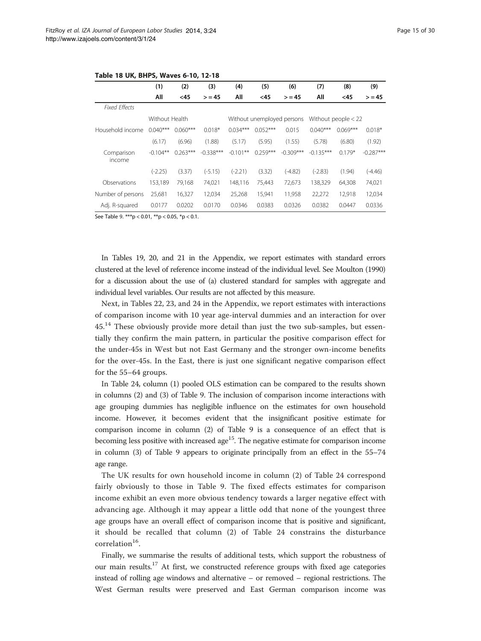|                      | (1)            | (2)        | (3)         | (4)        | (5)                        | (6)         | (7)         | (8)                   | (9)         |
|----------------------|----------------|------------|-------------|------------|----------------------------|-------------|-------------|-----------------------|-------------|
|                      | All            | <45        | > 45        | All        | <45                        | > 45        | All         | <45                   | > 45        |
| <b>Fixed Effects</b> |                |            |             |            |                            |             |             |                       |             |
|                      | Without Health |            |             |            | Without unemployed persons |             |             | Without people $<$ 22 |             |
| Household income     | $0.040***$     | $0.060***$ | $0.018*$    | $0.034***$ | $0.052***$                 | 0.015       | $0.040***$  | $0.069***$            | $0.018*$    |
|                      | (6.17)         | (6.96)     | (1.88)      | (5.17)     | (5.95)                     | (1.55)      | (5.78)      | (6.80)                | (1.92)      |
| Comparison<br>income | $-0.104**$     | $0.263***$ | $-0.338***$ | $-0.101**$ | $0.259***$                 | $-0.309***$ | $-0.135***$ | $0.179*$              | $-0.287***$ |
|                      | $(-2.25)$      | (3.37)     | $(-5.15)$   | $(-2.21)$  | (3.32)                     | $(-4.82)$   | $(-2.83)$   | (1.94)                | $(-4.46)$   |
| Observations         | 153,189        | 79.168     | 74.021      | 148,116    | 75,443                     | 72,673      | 138.329     | 64,308                | 74,021      |
| Number of persons    | 25,681         | 16,327     | 12,034      | 25,268     | 15,941                     | 11,958      | 22,272      | 12,918                | 12,034      |
| Adj. R-squared       | 0.0177         | 0.0202     | 0.0170      | 0.0346     | 0.0383                     | 0.0326      | 0.0382      | 0.0447                | 0.0336      |

<span id="page-14-0"></span>Table 18 UK, BHPS, Waves 6-10, 12-18

See Table [9.](#page-10-0) \*\*\*  $p < 0.01$ , \*\* $p < 0.05$ , \* $p < 0.1$ .

In Tables [19, 20,](#page-17-0) and [21](#page-17-0) in the [Appendix,](#page-16-0) we report estimates with standard errors clustered at the level of reference income instead of the individual level. See Moulton ([1990](#page-29-0)) for a discussion about the use of (a) clustered standard for samples with aggregate and individual level variables. Our results are not affected by this measure.

Next, in Tables [22,](#page-18-0) [23,](#page-19-0) and [24](#page-20-0) in the [Appendix,](#page-16-0) we report estimates with interactions of comparison income with 10 year age-interval dummies and an interaction for over 45.<sup>14</sup> These obviously provide more detail than just the two sub-samples, but essentially they confirm the main pattern, in particular the positive comparison effect for the under-45s in West but not East Germany and the stronger own-income benefits for the over-45s. In the East, there is just one significant negative comparison effect for the 55–64 groups.

In Table [24,](#page-20-0) column (1) pooled OLS estimation can be compared to the results shown in columns (2) and (3) of Table [9.](#page-10-0) The inclusion of comparison income interactions with age grouping dummies has negligible influence on the estimates for own household income. However, it becomes evident that the insignificant positive estimate for comparison income in column (2) of Table [9](#page-10-0) is a consequence of an effect that is becoming less positive with increased age $15$ . The negative estimate for comparison income in column (3) of Table [9](#page-10-0) appears to originate principally from an effect in the 55–74 age range.

The UK results for own household income in column (2) of Table [24](#page-20-0) correspond fairly obviously to those in Table [9](#page-10-0). The fixed effects estimates for comparison income exhibit an even more obvious tendency towards a larger negative effect with advancing age. Although it may appear a little odd that none of the youngest three age groups have an overall effect of comparison income that is positive and significant, it should be recalled that column (2) of Table [24](#page-20-0) constrains the disturbance  $correlation<sup>16</sup>.$ 

Finally, we summarise the results of additional tests, which support the robustness of our main results.<sup>17</sup> At first, we constructed reference groups with fixed age categories instead of rolling age windows and alternative – or removed – regional restrictions. The West German results were preserved and East German comparison income was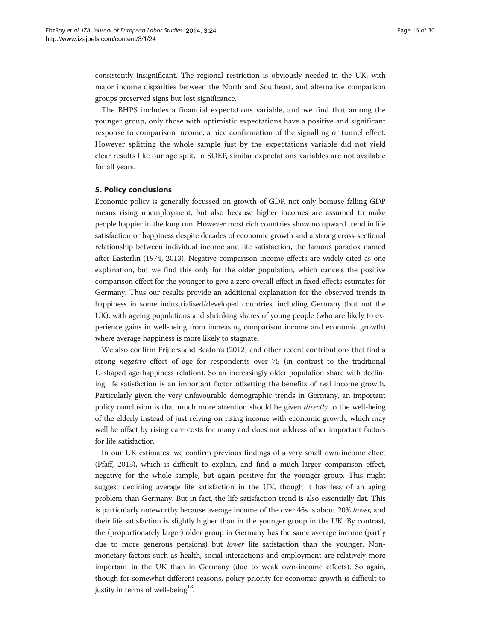<span id="page-15-0"></span>consistently insignificant. The regional restriction is obviously needed in the UK, with major income disparities between the North and Southeast, and alternative comparison groups preserved signs but lost significance.

The BHPS includes a financial expectations variable, and we find that among the younger group, only those with optimistic expectations have a positive and significant response to comparison income, a nice confirmation of the signalling or tunnel effect. However splitting the whole sample just by the expectations variable did not yield clear results like our age split. In SOEP, similar expectations variables are not available for all years.

#### 5. Policy conclusions

Economic policy is generally focussed on growth of GDP, not only because falling GDP means rising unemployment, but also because higher incomes are assumed to make people happier in the long run. However most rich countries show no upward trend in life satisfaction or happiness despite decades of economic growth and a strong cross-sectional relationship between individual income and life satisfaction, the famous paradox named after Easterlin ([1974, 2013\)](#page-28-0). Negative comparison income effects are widely cited as one explanation, but we find this only for the older population, which cancels the positive comparison effect for the younger to give a zero overall effect in fixed effects estimates for Germany. Thus our results provide an additional explanation for the observed trends in happiness in some industrialised/developed countries, including Germany (but not the UK), with ageing populations and shrinking shares of young people (who are likely to experience gains in well-being from increasing comparison income and economic growth) where average happiness is more likely to stagnate.

We also confirm Frijters and Beaton's (2012) and other recent contributions that find a strong negative effect of age for respondents over 75 (in contrast to the traditional U-shaped age-happiness relation). So an increasingly older population share with declining life satisfaction is an important factor offsetting the benefits of real income growth. Particularly given the very unfavourable demographic trends in Germany, an important policy conclusion is that much more attention should be given *directly* to the well-being of the elderly instead of just relying on rising income with economic growth, which may well be offset by rising care costs for many and does not address other important factors for life satisfaction.

In our UK estimates, we confirm previous findings of a very small own-income effect (Pfaff, [2013\)](#page-29-0), which is difficult to explain, and find a much larger comparison effect, negative for the whole sample, but again positive for the younger group. This might suggest declining average life satisfaction in the UK, though it has less of an aging problem than Germany. But in fact, the life satisfaction trend is also essentially flat. This is particularly noteworthy because average income of the over 45s is about 20% lower, and their life satisfaction is slightly higher than in the younger group in the UK. By contrast, the (proportionately larger) older group in Germany has the same average income (partly due to more generous pensions) but lower life satisfaction than the younger. Nonmonetary factors such as health, social interactions and employment are relatively more important in the UK than in Germany (due to weak own-income effects). So again, though for somewhat different reasons, policy priority for economic growth is difficult to justify in terms of well-being<sup>18</sup>.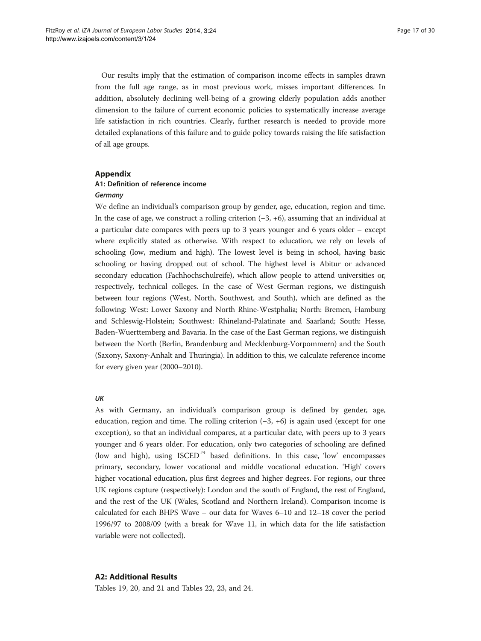<span id="page-16-0"></span>Our results imply that the estimation of comparison income effects in samples drawn from the full age range, as in most previous work, misses important differences. In addition, absolutely declining well-being of a growing elderly population adds another dimension to the failure of current economic policies to systematically increase average life satisfaction in rich countries. Clearly, further research is needed to provide more detailed explanations of this failure and to guide policy towards raising the life satisfaction of all age groups.

#### Appendix

## A1: Definition of reference income

## **Germany**

We define an individual's comparison group by gender, age, education, region and time. In the case of age, we construct a rolling criterion (−3, +6), assuming that an individual at a particular date compares with peers up to 3 years younger and 6 years older – except where explicitly stated as otherwise. With respect to education, we rely on levels of schooling (low, medium and high). The lowest level is being in school, having basic schooling or having dropped out of school. The highest level is Abitur or advanced secondary education (Fachhochschulreife), which allow people to attend universities or, respectively, technical colleges. In the case of West German regions, we distinguish between four regions (West, North, Southwest, and South), which are defined as the following: West: Lower Saxony and North Rhine-Westphalia; North: Bremen, Hamburg and Schleswig-Holstein; Southwest: Rhineland-Palatinate and Saarland; South: Hesse, Baden-Wuerttemberg and Bavaria. In the case of the East German regions, we distinguish between the North (Berlin, Brandenburg and Mecklenburg-Vorpommern) and the South (Saxony, Saxony-Anhalt and Thuringia). In addition to this, we calculate reference income for every given year (2000–2010).

# UK

As with Germany, an individual's comparison group is defined by gender, age, education, region and time. The rolling criterion  $(-3, +6)$  is again used (except for one exception), so that an individual compares, at a particular date, with peers up to 3 years younger and 6 years older. For education, only two categories of schooling are defined (low and high), using  $ISCED^{19}$  based definitions. In this case, 'low' encompasses primary, secondary, lower vocational and middle vocational education. 'High' covers higher vocational education, plus first degrees and higher degrees. For regions, our three UK regions capture (respectively): London and the south of England, the rest of England, and the rest of the UK (Wales, Scotland and Northern Ireland). Comparison income is calculated for each BHPS Wave – our data for Waves 6–10 and 12–18 cover the period 1996/97 to 2008/09 (with a break for Wave 11, in which data for the life satisfaction variable were not collected).

# A2: Additional Results

Tables [19](#page-17-0), [20](#page-17-0), and [21](#page-17-0) and Tables [22,](#page-18-0) [23](#page-19-0), and [24](#page-20-0).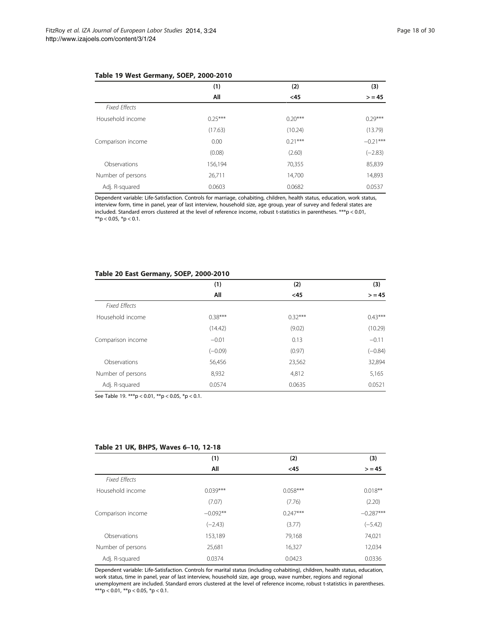#### <span id="page-17-0"></span>Table 19 West Germany, SOEP, 2000-2010

|                      | (1)       | (2)       | (3)        |
|----------------------|-----------|-----------|------------|
|                      | All       | <45       | > 45       |
| <b>Fixed Effects</b> |           |           |            |
| Household income     | $0.25***$ | $0.20***$ | $0.29***$  |
|                      | (17.63)   | (10.24)   | (13.79)    |
| Comparison income    | 0.00      | $0.21***$ | $-0.21***$ |
|                      | (0.08)    | (2.60)    | $(-2.83)$  |
| Observations         | 156,194   | 70,355    | 85,839     |
| Number of persons    | 26,711    | 14,700    | 14,893     |
| Adj. R-squared       | 0.0603    | 0.0682    | 0.0537     |

Dependent variable: Life-Satisfaction. Controls for marriage, cohabiting, children, health status, education, work status, interview form, time in panel, year of last interview, household size, age group, year of survey and federal states are included. Standard errors clustered at the level of reference income, robust t-statistics in parentheses. \*\*\*p < 0.01,  $**p < 0.05, *p < 0.1.$ 

#### Table 20 East Germany, SOEP, 2000-2010

|                      | (1)       | (2)       | (3)       |
|----------------------|-----------|-----------|-----------|
|                      | All       | <45       | > 45      |
| <b>Fixed Effects</b> |           |           |           |
| Household income     | $0.38***$ | $0.32***$ | $0.43***$ |
|                      | (14.42)   | (9.02)    | (10.29)   |
| Comparison income    | $-0.01$   | 0.13      | $-0.11$   |
|                      | $(-0.09)$ | (0.97)    | $(-0.84)$ |
| Observations         | 56,456    | 23,562    | 32,894    |
| Number of persons    | 8,932     | 4,812     | 5,165     |
| Adj. R-squared       | 0.0574    | 0.0635    | 0.0521    |

See Table 19. \*\*\*p < 0.01, \*\*p < 0.05, \*p < 0.1.

#### Table 21 UK, BHPS, Waves 6–10, 12-18

|                      | (1)        | (2)        | (3)         |
|----------------------|------------|------------|-------------|
|                      | All        | <45        | > 45        |
| <b>Fixed Effects</b> |            |            |             |
| Household income     | $0.039***$ | $0.058***$ | $0.018**$   |
|                      | (7.07)     | (7.76)     | (2.20)      |
| Comparison income    | $-0.092**$ | $0.247***$ | $-0.287***$ |
|                      | $(-2.43)$  | (3.77)     | $(-5.42)$   |
| Observations         | 153,189    | 79,168     | 74,021      |
| Number of persons    | 25,681     | 16,327     | 12,034      |
| Adj. R-squared       | 0.0374     | 0.0423     | 0.0336      |

Dependent variable: Life-Satisfaction. Controls for marital status (including cohabiting), children, health status, education, work status, time in panel, year of last interview, household size, age group, wave number, regions and regional unemployment are included. Standard errors clustered at the level of reference income, robust t-statistics in parentheses. \*\*\*p < 0.01, \*\*p < 0.05, \*p < 0.1.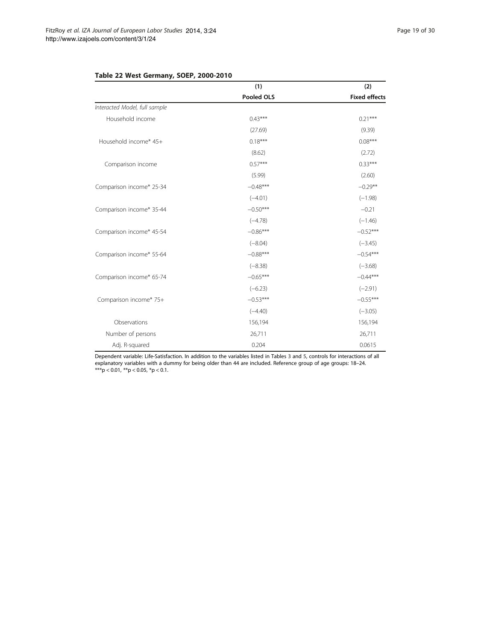<span id="page-18-0"></span>

|  |  |  |  | Table 22 West Germany, SOEP, 2000-2010 |
|--|--|--|--|----------------------------------------|
|--|--|--|--|----------------------------------------|

|                               | (1)               | (2)                  |  |
|-------------------------------|-------------------|----------------------|--|
|                               | <b>Pooled OLS</b> | <b>Fixed effects</b> |  |
| Interacted Model, full sample |                   |                      |  |
| Household income              | $0.43***$         | $0.21***$            |  |
|                               | (27.69)           | (9.39)               |  |
| Household income* 45+         | $0.18***$         | $0.08***$            |  |
|                               | (8.62)            | (2.72)               |  |
| Comparison income             | $0.57***$         | $0.33***$            |  |
|                               | (5.99)            | (2.60)               |  |
| Comparison income* 25-34      | $-0.48***$        | $-0.29**$            |  |
|                               | $(-4.01)$         | $(-1.98)$            |  |
| Comparison income* 35-44      | $-0.50***$        | $-0.21$              |  |
|                               | $(-4.78)$         | $(-1.46)$            |  |
| Comparison income* 45-54      | $-0.86***$        | $-0.52***$           |  |
|                               | $(-8.04)$         | $(-3.45)$            |  |
| Comparison income* 55-64      | $-0.88***$        | $-0.54***$           |  |
|                               | $(-8.38)$         | $(-3.68)$            |  |
| Comparison income* 65-74      | $-0.65***$        | $-0.44***$           |  |
|                               | $(-6.23)$         | $(-2.91)$            |  |
| Comparison income* 75+        | $-0.53***$        | $-0.55***$           |  |
|                               | $(-4.40)$         | $(-3.05)$            |  |
| Observations                  | 156,194           | 156,194              |  |
| Number of persons             | 26,711            | 26,711               |  |
| Adj. R-squared                | 0.204             | 0.0615               |  |

Dependent variable: Life-Satisfaction. In addition to the variables listed in Tables [3](#page-6-0) and [5](#page-7-0), controls for interactions of all explanatory variables with a dummy for being older than 44 are included. Reference group of age groups: 18–24. \*\*\*p < 0.01, \*\*p < 0.05, \*p < 0.1.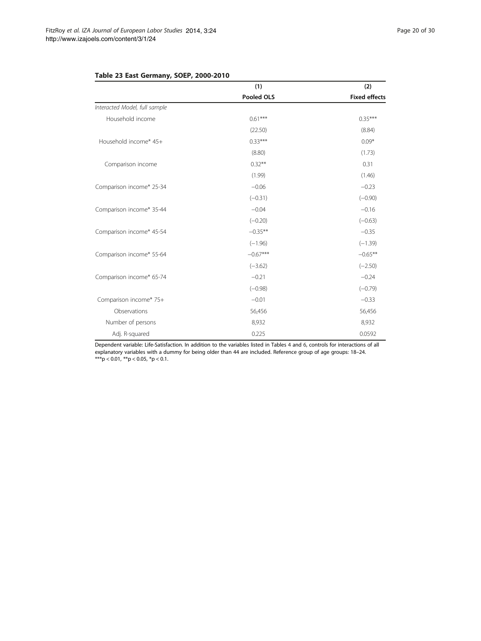<span id="page-19-0"></span>

| Table 23 East Germany, SOEP, 2000-2010 |  |
|----------------------------------------|--|
|                                        |  |

|                               | (1)        | (2)                  |
|-------------------------------|------------|----------------------|
|                               | Pooled OLS | <b>Fixed effects</b> |
| Interacted Model, full sample |            |                      |
| Household income              | $0.61***$  | $0.35***$            |
|                               | (22.50)    | (8.84)               |
| Household income* 45+         | $0.33***$  | $0.09*$              |
|                               | (8.80)     | (1.73)               |
| Comparison income             | $0.32**$   | 0.31                 |
|                               | (1.99)     | (1.46)               |
| Comparison income* 25-34      | $-0.06$    | $-0.23$              |
|                               | $(-0.31)$  | $(-0.90)$            |
| Comparison income* 35-44      | $-0.04$    | $-0.16$              |
|                               | $(-0.20)$  | $(-0.63)$            |
| Comparison income* 45-54      | $-0.35***$ | $-0.35$              |
|                               | $(-1.96)$  | $(-1.39)$            |
| Comparison income* 55-64      | $-0.67***$ | $-0.65***$           |
|                               | $(-3.62)$  | $(-2.50)$            |
| Comparison income* 65-74      | $-0.21$    | $-0.24$              |
|                               | $(-0.98)$  | $(-0.79)$            |
| Comparison income* 75+        | $-0.01$    | $-0.33$              |
| Observations                  | 56,456     | 56,456               |
| Number of persons             | 8,932      | 8,932                |
| Adj. R-squared                | 0.225      | 0.0592               |

Dependent variable: Life-Satisfaction. In addition to the variables listed in Tables [4](#page-6-0) and [6](#page-7-0), controls for interactions of all explanatory variables with a dummy for being older than 44 are included. Reference group of age groups: 18–24. \*\*\*p < 0.01, \*\*p < 0.05, \*p < 0.1.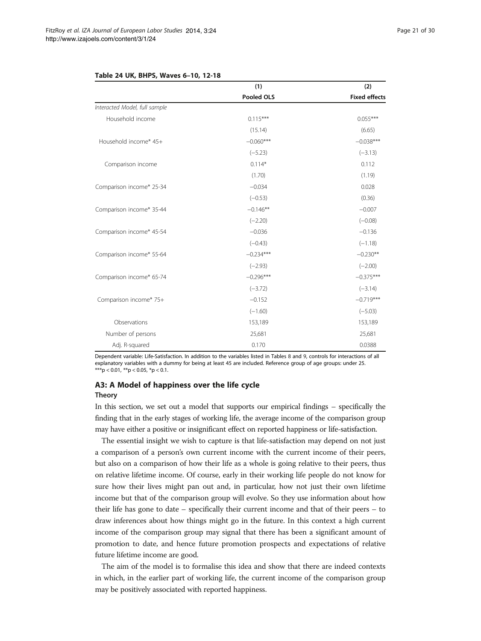|                               | (1)         | (2)                  |
|-------------------------------|-------------|----------------------|
|                               | Pooled OLS  | <b>Fixed effects</b> |
| Interacted Model, full sample |             |                      |
| Household income              | $0.115***$  | $0.055***$           |
|                               | (15.14)     | (6.65)               |
| Household income* 45+         | $-0.060***$ | $-0.038***$          |
|                               | $(-5.23)$   | $(-3.13)$            |
| Comparison income             | $0.114*$    | 0.112                |
|                               | (1.70)      | (1.19)               |
| Comparison income* 25-34      | $-0.034$    | 0.028                |
|                               | $(-0.53)$   | (0.36)               |
| Comparison income* 35-44      | $-0.146**$  | $-0.007$             |
|                               | $(-2.20)$   | $(-0.08)$            |
| Comparison income* 45-54      | $-0.036$    | $-0.136$             |
|                               | $(-0.43)$   | $(-1.18)$            |
| Comparison income* 55-64      | $-0.234***$ | $-0.230**$           |
|                               | $(-2.93)$   | $(-2.00)$            |
| Comparison income* 65-74      | $-0.296***$ | $-0.375***$          |
|                               | $(-3.72)$   | $(-3.14)$            |
| Comparison income* 75+        | $-0.152$    | $-0.719***$          |
|                               | $(-1.60)$   | $(-5.03)$            |
| Observations                  | 153,189     | 153,189              |
| Number of persons             | 25,681      | 25,681               |
| Adj. R-squared                | 0.170       | 0.0388               |

<span id="page-20-0"></span>

| Table 24 UK, BHPS, Waves 6-10, 12-18 |  |  |  |  |  |
|--------------------------------------|--|--|--|--|--|
|--------------------------------------|--|--|--|--|--|

Dependent variable: Life-Satisfaction. In addition to the variables listed in Tables [8](#page-9-0) and [9](#page-10-0), controls for interactions of all explanatory variables with a dummy for being at least 45 are included. Reference group of age groups: under 25. \*\*\*p < 0.01, \*\*p < 0.05, \*p < 0.1.

# A3: A Model of happiness over the life cycle Theory

In this section, we set out a model that supports our empirical findings – specifically the finding that in the early stages of working life, the average income of the comparison group may have either a positive or insignificant effect on reported happiness or life-satisfaction.

The essential insight we wish to capture is that life-satisfaction may depend on not just a comparison of a person's own current income with the current income of their peers, but also on a comparison of how their life as a whole is going relative to their peers, thus on relative lifetime income. Of course, early in their working life people do not know for sure how their lives might pan out and, in particular, how not just their own lifetime income but that of the comparison group will evolve. So they use information about how their life has gone to date – specifically their current income and that of their peers – to draw inferences about how things might go in the future. In this context a high current income of the comparison group may signal that there has been a significant amount of promotion to date, and hence future promotion prospects and expectations of relative future lifetime income are good.

The aim of the model is to formalise this idea and show that there are indeed contexts in which, in the earlier part of working life, the current income of the comparison group may be positively associated with reported happiness.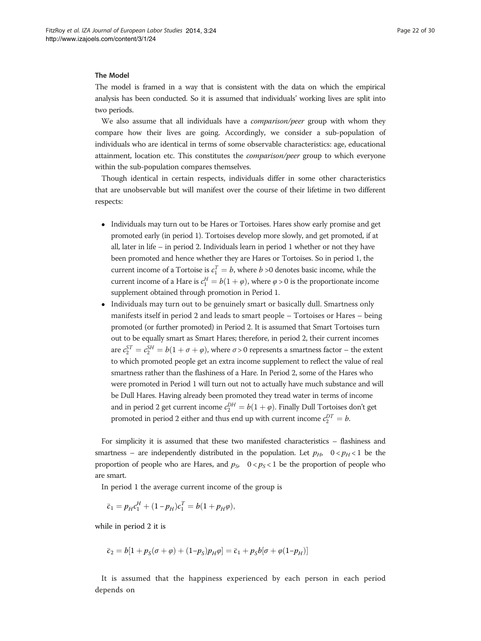#### The Model

The model is framed in a way that is consistent with the data on which the empirical analysis has been conducted. So it is assumed that individuals' working lives are split into two periods.

We also assume that all individuals have a *comparison/peer* group with whom they compare how their lives are going. Accordingly, we consider a sub-population of individuals who are identical in terms of some observable characteristics: age, educational attainment, location etc. This constitutes the comparison/peer group to which everyone within the sub-population compares themselves.

Though identical in certain respects, individuals differ in some other characteristics that are unobservable but will manifest over the course of their lifetime in two different respects:

- Individuals may turn out to be Hares or Tortoises. Hares show early promise and get promoted early (in period 1). Tortoises develop more slowly, and get promoted, if at all, later in life – in period 2. Individuals learn in period 1 whether or not they have been promoted and hence whether they are Hares or Tortoises. So in period 1, the current income of a Tortoise is  $c_1^T = b$ , where  $b > 0$  denotes basic income, while the current income of a Hare is  $c_1^H = b(1 + \varphi)$ , where  $\varphi > 0$  is the proportionate income supplement obtained through promotion in Period 1.
- Individuals may turn out to be genuinely smart or basically dull. Smartness only manifests itself in period 2 and leads to smart people – Tortoises or Hares – being promoted (or further promoted) in Period 2. It is assumed that Smart Tortoises turn out to be equally smart as Smart Hares; therefore, in period 2, their current incomes are  $c_2^{ST} = c_2^{SH} = b(1 + \sigma + \varphi)$ , where  $\sigma > 0$  represents a smartness factor – the extent to which promoted people get an extra income supplement to reflect the value of real smartness rather than the flashiness of a Hare. In Period 2, some of the Hares who were promoted in Period 1 will turn out not to actually have much substance and will be Dull Hares. Having already been promoted they tread water in terms of income and in period 2 get current income  $c_2^{DH} = b(1 + \varphi)$ . Finally Dull Tortoises don't get promoted in period 2 either and thus end up with current income  $c_2^{DT} = b$ .

For simplicity it is assumed that these two manifested characteristics – flashiness and smartness – are independently distributed in the population. Let  $p_{H}$ ,  $0 < p_{H} < 1$  be the proportion of people who are Hares, and  $p_S$ ,  $0 < p_S < 1$  be the proportion of people who are smart.

In period 1 the average current income of the group is

$$
\bar{c}_1 = p_H c_1^H + (1 - p_H) c_1^T = b(1 + p_H \varphi),
$$

while in period 2 it is

$$
\bar{c}_2 = b[1 + p_S(\sigma + \varphi) + (1 - p_S)p_H\varphi] = \bar{c}_1 + p_Sb[\sigma + \varphi(1 - p_H)]
$$

It is assumed that the happiness experienced by each person in each period depends on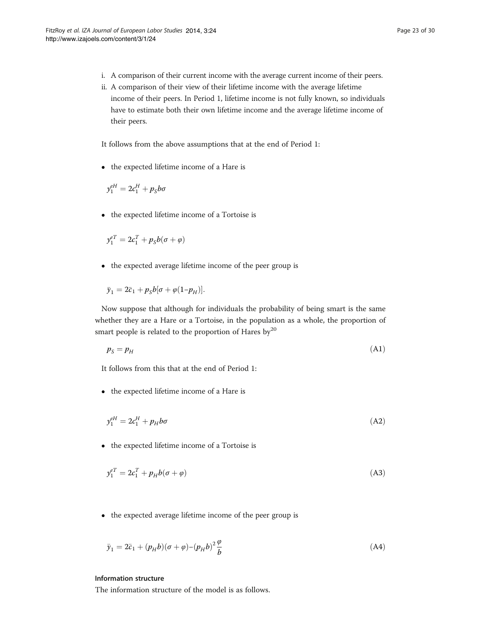- <span id="page-22-0"></span>i. A comparison of their current income with the average current income of their peers.
- ii. A comparison of their view of their lifetime income with the average lifetime income of their peers. In Period 1, lifetime income is not fully known, so individuals have to estimate both their own lifetime income and the average lifetime income of their peers.

It follows from the above assumptions that at the end of Period 1:

- the expected lifetime income of a Hare is

$$
y_1^{eH} = 2c_1^H + p_S b\sigma
$$

- the expected lifetime income of a Tortoise is

$$
y_1^{eT} = 2c_1^T + p_S b(\sigma + \varphi)
$$

- the expected average lifetime income of the peer group is

$$
\bar{y}_1 = 2\bar{c}_1 + p_S b [\sigma + \varphi(1-p_H)].
$$

Now suppose that although for individuals the probability of being smart is the same whether they are a Hare or a Tortoise, in the population as a whole, the proportion of smart people is related to the proportion of Hares  $by<sup>20</sup>$ 

$$
p_S = p_H \tag{A1}
$$

It follows from this that at the end of Period 1:

- the expected lifetime income of a Hare is

$$
y_1^{eH} = 2c_1^H + p_H b\sigma \tag{A2}
$$

- the expected lifetime income of a Tortoise is

$$
y_1^{eT} = 2c_1^T + p_H b(\sigma + \varphi) \tag{A3}
$$

- the expected average lifetime income of the peer group is

$$
\bar{y}_1 = 2\bar{c}_1 + (p_H b)(\sigma + \varphi) - (p_H b)^2 \frac{\varphi}{b}
$$
\n(A4)

# Information structure

The information structure of the model is as follows.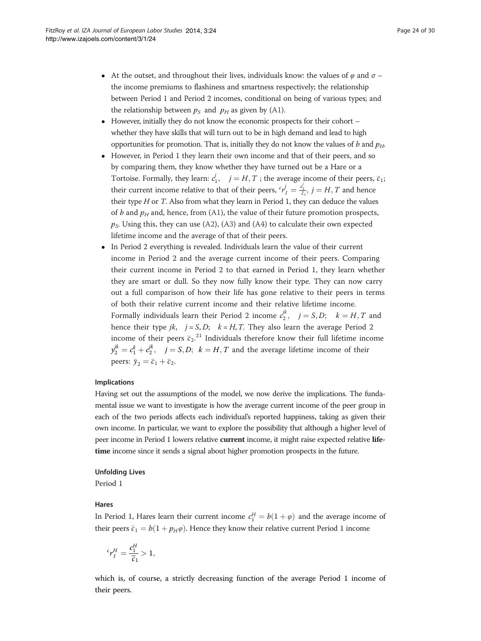- At the outset, and throughout their lives, individuals know: the values of  $\varphi$  and  $\sigma$  the income premiums to flashiness and smartness respectively; the relationship between Period 1 and Period 2 incomes, conditional on being of various types; and the relationship between  $p<sub>S</sub>$  and  $p<sub>H</sub>$  as given by ([A1](#page-22-0)).
- However, initially they do not know the economic prospects for their cohort whether they have skills that will turn out to be in high demand and lead to high opportunities for promotion. That is, initially they do not know the values of b and  $p_H$ .
- However, in Period 1 they learn their own income and that of their peers, and so by comparing them, they know whether they have turned out be a Hare or a Tortoise. Formally, they learn:  $c_1^j$ ,  $j = H, T$ ; the average income of their peers,  $\bar{c}_1$ ; their current income relative to that of their peers,  ${}^{c}r^{j}_{1} = \frac{e^{j}_{1}}{\bar{e}_{1}}$ ,  $j = H, T$  and hence their type  $H$  or  $T$ . Also from what they learn in Period 1, they can deduce the values of b and  $p<sub>H</sub>$  and, hence, from ([A1](#page-22-0)), the value of their future promotion prospects,  $p<sub>S</sub>$ . Using this, they can use ([A2\)](#page-22-0), [\(A3](#page-22-0)) and ([A4\)](#page-22-0) to calculate their own expected lifetime income and the average of that of their peers.
- In Period 2 everything is revealed. Individuals learn the value of their current income in Period 2 and the average current income of their peers. Comparing their current income in Period 2 to that earned in Period 1, they learn whether they are smart or dull. So they now fully know their type. They can now carry out a full comparison of how their life has gone relative to their peers in terms of both their relative current income and their relative lifetime income. Formally individuals learn their Period 2 income  $c_2^{jk}$ ,  $j = S, D; k = H, T$  and hence their type jk,  $j = S, D; k = H, T$ . They also learn the average Period 2 income of their peers  $\bar{c}_2$ .<sup>21</sup> Individuals therefore know their full lifetime income  $y_2^k = c_1^k + c_2^k$ ,  $j = S, D$ ;  $k = H, T$  and the average lifetime income of their peers:  $\bar{y}_2 = \bar{c}_1 + \bar{c}_2$ .

#### Implications

Having set out the assumptions of the model, we now derive the implications. The fundamental issue we want to investigate is how the average current income of the peer group in each of the two periods affects each individual's reported happiness, taking as given their own income. In particular, we want to explore the possibility that although a higher level of peer income in Period 1 lowers relative current income, it might raise expected relative lifetime income since it sends a signal about higher promotion prospects in the future.

# Unfolding Lives

Period 1

## Hares

In Period 1, Hares learn their current income  $c_1^H = b(1 + \varphi)$  and the average income of their peers  $\bar{c}_1 = b(1 + p_H \varphi)$ . Hence they know their relative current Period 1 income

$$
^{c}r_{1}^{H}=\frac{c_{1}^{H}}{\overline{c}_{1}}>1,
$$

which is, of course, a strictly decreasing function of the average Period 1 income of their peers.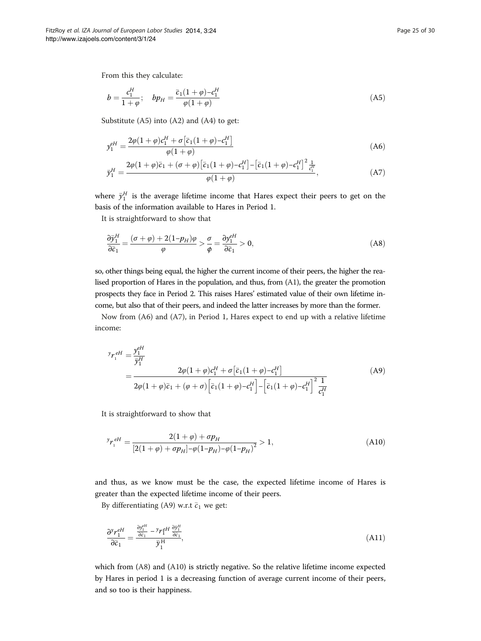From this they calculate:

$$
b = \frac{c_1^H}{1 + \varphi}; \quad bp_H = \frac{\bar{c}_1(1 + \varphi) - c_1^H}{\varphi(1 + \varphi)}
$$
(A5)

Substitute (A5) into [\(A2\)](#page-22-0) and [\(A4](#page-22-0)) to get:

$$
y_1^{eH} = \frac{2\varphi(1+\varphi)c_1^H + \sigma[\bar{c}_1(1+\varphi)-c_1^H]}{\varphi(1+\varphi)}
$$
(A6)

$$
\bar{y}_1^H = \frac{2\varphi(1+\varphi)\bar{c}_1 + (\sigma+\varphi)\left[\bar{c}_1(1+\varphi)-c_1^H\right] - \left[\bar{c}_1(1+\varphi)-c_1^H\right]^2 \frac{1}{c_1^H}}{\varphi(1+\varphi)},\tag{A7}
$$

where  $\bar{y}_1^H$  is the average lifetime income that Hares expect their peers to get on the basis of the information available to Hares in Period 1.

It is straightforward to show that

$$
\frac{\partial \bar{y}_1^H}{\partial \bar{c}_1} = \frac{(\sigma + \varphi) + 2(1 - p_H)\varphi}{\varphi} > \frac{\sigma}{\varphi} = \frac{\partial y_1^{eH}}{\partial \bar{c}_1} > 0,
$$
\n(A8)

so, other things being equal, the higher the current income of their peers, the higher the realised proportion of Hares in the population, and thus, from [\(A1\)](#page-22-0), the greater the promotion prospects they face in Period 2. This raises Hares' estimated value of their own lifetime income, but also that of their peers, and indeed the latter increases by more than the former.

Now from (A6) and (A7), in Period 1, Hares expect to end up with a relative lifetime income:

$$
{}^{y}r_{1}^{eH} = \frac{y_{1}^{eH}}{\bar{y}_{1}^{H}}
$$
  
= 
$$
\frac{2\varphi(1+\varphi)c_{1}^{H} + \sigma[\bar{c}_{1}(1+\varphi)-c_{1}^{H}]}{2\varphi(1+\varphi)\bar{c}_{1} + (\varphi+\sigma)[\bar{c}_{1}(1+\varphi)-c_{1}^{H}] - [\bar{c}_{1}(1+\varphi)-c_{1}^{H}]^{2}\frac{1}{c_{1}^{H}}}
$$
(A9)

It is straightforward to show that

$$
{}^{\mathcal{Y}}r_1^{eH} = \frac{2(1+\varphi) + \sigma p_H}{\left[2(1+\varphi) + \sigma p_H\right] - \varphi(1-p_H) - \varphi(1-p_H)^2} > 1,\tag{A10}
$$

and thus, as we know must be the case, the expected lifetime income of Hares is greater than the expected lifetime income of their peers.

By differentiating (A9) w.r.t  $\bar{c}_1$  we get:

$$
\frac{\partial^{\gamma} r_1^{eH}}{\partial \bar{c}_1} = \frac{\frac{\partial y_1^{eH}}{\partial \bar{c}_1} - \gamma r_1^{eH} \frac{\partial \bar{y}_1^H}{\partial \bar{c}_1}}{\bar{y}_1^H},\tag{A11}
$$

which from (A8) and (A10) is strictly negative. So the relative lifetime income expected by Hares in period 1 is a decreasing function of average current income of their peers, and so too is their happiness.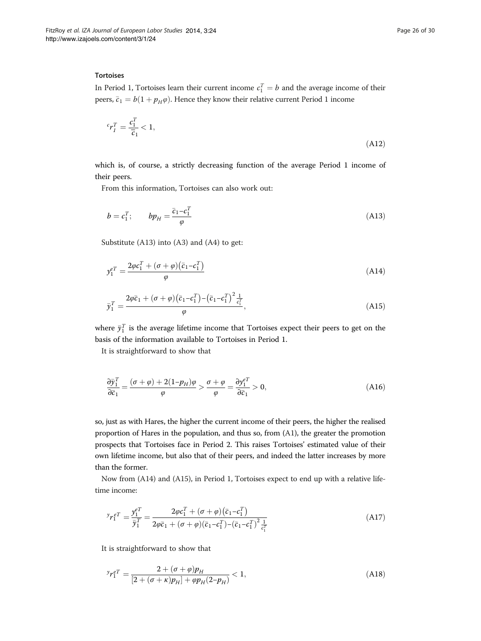#### <span id="page-25-0"></span>Tortoises

In Period 1, Tortoises learn their current income  $c_1^T = b$  and the average income of their peers,  $\bar{c}_1 = b(1 + p_H \varphi)$ . Hence they know their relative current Period 1 income

$$
^{c}r_{I}^{T} = \frac{c_{1}^{T}}{\overline{c}_{1}} < 1,\tag{A12}
$$

which is, of course, a strictly decreasing function of the average Period 1 income of their peers.

From this information, Tortoises can also work out:

$$
b = c_1^T; \qquad bp_H = \frac{\bar{c}_1 - c_1^T}{\varphi} \tag{A13}
$$

Substitute (A13) into ([A3\)](#page-22-0) and [\(A4\)](#page-22-0) to get:

$$
y_1^{eT} = \frac{2\varphi c_1^T + (\sigma + \varphi)(\bar{c}_1 - c_1^T)}{\varphi}
$$
 (A14)

$$
\bar{y}_1^T = \frac{2\varphi\bar{c}_1 + (\sigma + \varphi)(\bar{c}_1 - c_1^T) - (\bar{c}_1 - c_1^T)^2 \frac{1}{c_1^T}}{\varphi},\tag{A15}
$$

where  $\bar{y}_1^T$  is the average lifetime income that Tortoises expect their peers to get on the basis of the information available to Tortoises in Period 1.

It is straightforward to show that

$$
\frac{\partial \bar{y}_1^T}{\partial \bar{c}_1} = \frac{(\sigma + \varphi) + 2(1 - p_H)\varphi}{\varphi} > \frac{\sigma + \varphi}{\varphi} = \frac{\partial y_1^{eT}}{\partial \bar{c}_1} > 0,
$$
\n(A16)

so, just as with Hares, the higher the current income of their peers, the higher the realised proportion of Hares in the population, and thus so, from [\(A1\)](#page-22-0), the greater the promotion prospects that Tortoises face in Period 2. This raises Tortoises' estimated value of their own lifetime income, but also that of their peers, and indeed the latter increases by more than the former.

Now from (A14) and (A15), in Period 1, Tortoises expect to end up with a relative lifetime income:

$$
{}^{y}r_{1}^{eT} = \frac{y_{1}^{eT}}{\bar{y}_{1}^{T}} = \frac{2\varphi c_{1}^{T} + (\sigma + \varphi)(\bar{c}_{1} - c_{1}^{T})}{2\varphi \bar{c}_{1} + (\sigma + \varphi)(\bar{c}_{1} - c_{1}^{T}) - (\bar{c}_{1} - c_{1}^{T})^{2} \frac{1}{c_{1}^{T}}}
$$
(A17)

It is straightforward to show that

$$
{}^{y}r_{1}^{eT} = \frac{2 + (\sigma + \varphi)p_{H}}{[2 + (\sigma + \kappa)p_{H}] + \varphi p_{H}(2 - p_{H})} < 1,
$$
\n(A18)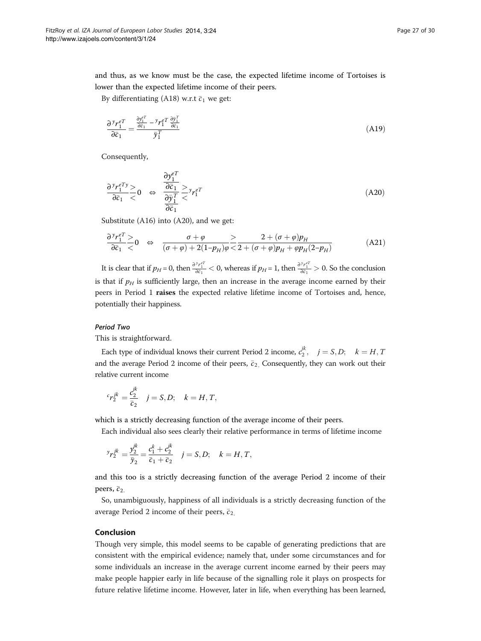and thus, as we know must be the case, the expected lifetime income of Tortoises is lower than the expected lifetime income of their peers.

By differentiating [\(A18](#page-25-0)) w.r.t  $\bar{c}_1$  we get:

$$
\frac{\partial^{\gamma} r_1^{eT}}{\partial \overline{c}_1} = \frac{\frac{\partial y_1^{eT}}{\partial \overline{c}_1} - {^{\gamma}} r_1^{eT} \frac{\partial \overline{y}_1^{T}}{\partial \overline{c}_1}}{\overline{y}_1^{T}}
$$
(A19)

Consequently,

$$
\frac{\partial^{\gamma} r_1^{eT\gamma}}{\partial \bar{c}_1} \geq 0 \quad \Leftrightarrow \quad \frac{\frac{\partial y_1^{eT}}{\partial \bar{c}_1}}{\frac{\partial \bar{y}_1^{T}}{\partial \bar{c}_1}} \geq \gamma_r^{eT} \tag{A20}
$$

Substitute ([A16\)](#page-25-0) into (A20), and we get:

$$
\frac{\partial^{\gamma} r_1^{eT}}{\partial \bar{c}_1} > 0 \quad \Leftrightarrow \quad \frac{\sigma + \varphi}{(\sigma + \varphi) + 2(1 - p_H)\varphi} > \frac{2 + (\sigma + \varphi)p_H}{2 + (\sigma + \varphi)p_H + \varphi p_H(2 - p_H)} \tag{A21}
$$

It is clear that if  $p_H = 0$ , then  $\frac{\partial^y r_1^{eT}}{\partial \bar{c}_1} < 0$ , whereas if  $p_H = 1$ , then  $\frac{\partial^y r_1^{eT}}{\partial \bar{c}_1} > 0$ . So the conclusion is that if  $p_H$  is sufficiently large, then an increase in the average income earned by their peers in Period 1 raises the expected relative lifetime income of Tortoises and, hence, potentially their happiness.

#### Period Two

This is straightforward.

Each type of individual knows their current Period 2 income,  $c_2^{jk}$ ,  $j = S, D$ ;  $k = H, T$ and the average Period 2 income of their peers,  $\bar{c}_2$ . Consequently, they can work out their relative current income

$$
{}^{c}r_{2}^{jk}=\frac{c_{2}^{jk}}{\overline{c}_{2}} \quad j=S,D; \quad k=H,T,
$$

which is a strictly decreasing function of the average income of their peers.

Each individual also sees clearly their relative performance in terms of lifetime income

$$
{}^{y}r_{2}^{jk} = \frac{y_{2}^{jk}}{\bar{y}_{2}} = \frac{c_{1}^{k} + c_{2}^{jk}}{\bar{c}_{1} + \bar{c}_{2}} \quad j = S, D; \quad k = H, T,
$$

and this too is a strictly decreasing function of the average Period 2 income of their peers,  $\bar{c}_2$ .

So, unambiguously, happiness of all individuals is a strictly decreasing function of the average Period 2 income of their peers,  $\bar{c}_2$ .

# Conclusion

Though very simple, this model seems to be capable of generating predictions that are consistent with the empirical evidence; namely that, under some circumstances and for some individuals an increase in the average current income earned by their peers may make people happier early in life because of the signalling role it plays on prospects for future relative lifetime income. However, later in life, when everything has been learned,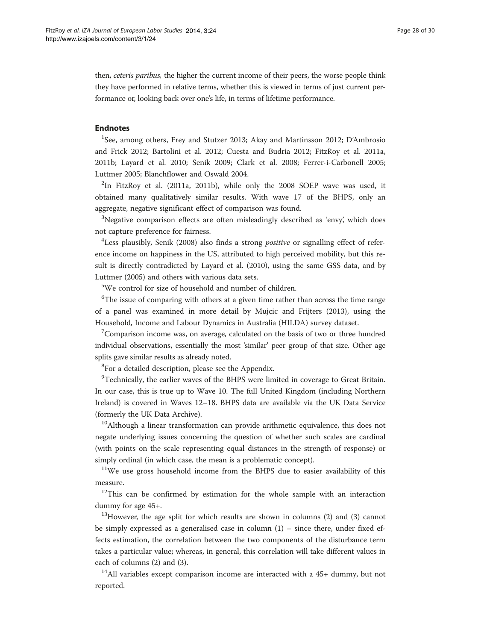then, ceteris paribus, the higher the current income of their peers, the worse people think they have performed in relative terms, whether this is viewed in terms of just current performance or, looking back over one's life, in terms of lifetime performance.

# Endnotes

<sup>1</sup>See, among others, Frey and Stutzer [2013](#page-29-0); Akay and Martinsson [2012](#page-28-0); D'Ambrosio and Frick [2012](#page-28-0); Bartolini et al. [2012;](#page-28-0) Cuesta and Budria [2012;](#page-28-0) FitzRoy et al. [2011a](#page-29-0), [2011b](#page-29-0); Layard et al. [2010;](#page-29-0) Senik [2009;](#page-29-0) Clark et al. [2008](#page-28-0); Ferrer-i-Carbonell [2005](#page-29-0); Luttmer [2005;](#page-29-0) Blanchflower and Oswald [2004](#page-28-0).

 $^{2}$ In FitzRoy et al. [\(2011a](#page-29-0), [2011b\)](#page-29-0), while only the 2008 SOEP wave was used, it obtained many qualitatively similar results. With wave 17 of the BHPS, only an aggregate, negative significant effect of comparison was found.

<sup>3</sup>Negative comparison effects are often misleadingly described as 'envy', which does not capture preference for fairness.

<sup>4</sup>Less plausibly, Senik [\(2008](#page-29-0)) also finds a strong *positive* or signalling effect of reference income on happiness in the US, attributed to high perceived mobility, but this result is directly contradicted by Layard et al. ([2010](#page-29-0)), using the same GSS data, and by Luttmer [\(2005\)](#page-29-0) and others with various data sets.

<sup>5</sup>We control for size of household and number of children.

<sup>6</sup>The issue of comparing with others at a given time rather than across the time range of a panel was examined in more detail by Mujcic and Frijters [\(2013\)](#page-29-0), using the Household, Income and Labour Dynamics in Australia (HILDA) survey dataset.

 $7$ Comparison income was, on average, calculated on the basis of two or three hundred individual observations, essentially the most 'similar' peer group of that size. Other age splits gave similar results as already noted.

<sup>8</sup>For a detailed description, please see the [Appendix.](#page-16-0)

<sup>9</sup>Technically, the earlier waves of the BHPS were limited in coverage to Great Britain. In our case, this is true up to Wave 10. The full United Kingdom (including Northern Ireland) is covered in Waves 12–18. BHPS data are available via the UK Data Service (formerly the UK Data Archive).

 $10<sup>10</sup>$ Although a linear transformation can provide arithmetic equivalence, this does not negate underlying issues concerning the question of whether such scales are cardinal (with points on the scale representing equal distances in the strength of response) or simply ordinal (in which case, the mean is a problematic concept).

 $11$ We use gross household income from the BHPS due to easier availability of this measure.

 $12$ This can be confirmed by estimation for the whole sample with an interaction dummy for age 45+.

 $13$ However, the age split for which results are shown in columns (2) and (3) cannot be simply expressed as a generalised case in column  $(1)$  – since there, under fixed effects estimation, the correlation between the two components of the disturbance term takes a particular value; whereas, in general, this correlation will take different values in each of columns (2) and (3).

<sup>14</sup>All variables except comparison income are interacted with a 45+ dummy, but not reported.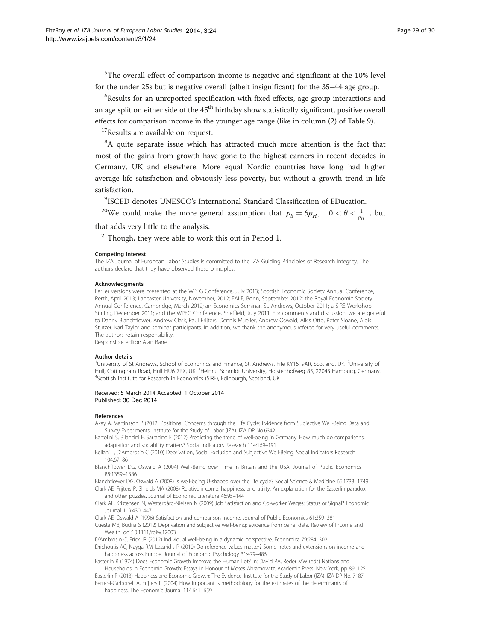<span id="page-28-0"></span> $15$ The overall effect of comparison income is negative and significant at the 10% level for the under 25s but is negative overall (albeit insignificant) for the 35–44 age group.

<sup>16</sup>Results for an unreported specification with fixed effects, age group interactions and an age split on either side of the 45<sup>th</sup> birthday show statistically significant, positive overall effects for comparison income in the younger age range (like in column (2) of Table [9](#page-10-0)).

<sup>17</sup>Results are available on request.

<sup>18</sup>A quite separate issue which has attracted much more attention is the fact that most of the gains from growth have gone to the highest earners in recent decades in Germany, UK and elsewhere. More equal Nordic countries have long had higher average life satisfaction and obviously less poverty, but without a growth trend in life satisfaction.

19ISCED denotes UNESCO's International Standard Classification of EDucation.

<sup>20</sup>We could make the more general assumption that  $p_S = \theta p_H$ ,  $0 < \theta < \frac{1}{p_H}$ , but

that adds very little to the analysis.

 $21$ Though, they were able to work this out in Period 1.

#### Competing interest

The IZA Journal of European Labor Studies is committed to the IZA Guiding Principles of Research Integrity. The authors declare that they have observed these principles.

#### Acknowledgments

Earlier versions were presented at the WPEG Conference, July 2013; Scottish Economic Society Annual Conference, Perth, April 2013; Lancaster University, November, 2012; EALE, Bonn, September 2012; the Royal Economic Society Annual Conference, Cambridge, March 2012; an Economics Seminar, St. Andrews, October 2011; a SIRE Workshop, Stirling, December 2011; and the WPEG Conference, Sheffield, July 2011. For comments and discussion, we are grateful to Danny Blanchflower, Andrew Clark, Paul Frijters, Dennis Mueller, Andrew Oswald, Alkis Otto, Peter Sloane, Alois Stutzer, Karl Taylor and seminar participants. In addition, we thank the anonymous referee for very useful comments. The authors retain responsibility. Responsible editor: Alan Barrett

#### Author details

<sup>1</sup>University of St Andrews, School of Economics and Finance, St. Andrews, Fife KY16, 9AR, Scotland, UK. <sup>2</sup>University of Hull, Cottingham Road, Hull HU6 7RX, UK. <sup>3</sup>Helmut Schmidt University, Holstenhofweg 85, 22043 Hamburg, Germany.<br><sup>4</sup>Scottish Institute for Besearch in Economics (SIRE), Edinburgh, Scotland, UK. <sup>4</sup>Scottish Institute for Research in Economics (SIRE), Edinburgh, Scotland, UK.

#### Received: 5 March 2014 Accepted: 1 October 2014 Published: 30 Dec 2014

#### References

Akay A, Martinsson P (2012) Positional Concerns through the Life Cycle: Evidence from Subjective Well-Being Data and Survey Experiments. Institute for the Study of Labor (IZA). IZA DP No.6342

Bartolini S, Bilancini E, Sarracino F (2012) Predicting the trend of well-being in Germany: How much do comparisons, adaptation and sociability matters? Social Indicators Research 114:169–191

Bellani L, D'Ambrosio C (2010) Deprivation, Social Exclusion and Subjective Well-Being. Social Indicators Research 104:67–86

Blanchflower DG, Oswald A (2004) Well-Being over Time in Britain and the USA. Journal of Public Economics 88:1359–1386

Blanchflower DG, Oswald A (2008) Is well-being U-shaped over the life cycle? Social Science & Medicine 66:1733–1749 Clark AE, Frijters P, Shields MA (2008) Relative income, happiness, and utility: An explanation for the Easterlin paradox and other puzzles. Journal of Economic Literature 46:95–144

Clark AE, Kristensen N, Westergård-Nielsen N (2009) Job Satisfaction and Co-worker Wages: Status or Signal? Economic Journal 119:430–447

Clark AE, Oswald A (1996) Satisfaction and comparison income. Journal of Public Economics 61:359–381

Cuesta MB, Budria S (2012) Deprivation and subjective well-being: evidence from panel data. Review of Income and Wealth. doi:10.1111/roiw.12003

D'Ambrosio C, Frick JR (2012) Individual well-being in a dynamic perspective. Economica 79:284–302 Drichoutis AC, Nayga RM, Lazaridis P (2010) Do reference values matter? Some notes and extensions on income and

happiness across Europe. Journal of Economic Psychology 31:479–486

Easterlin R (1974) Does Economic Growth Improve the Human Lot? In: David PA, Reder MW (eds) Nations and Households in Economic Growth: Essays in Honour of Moses Abramowitz. Academic Press, New York, pp 89–125

Easterlin R (2013) Happiness and Economic Growth: The Evidence. Institute for the Study of Labor (IZA). IZA DP No. 7187 Ferrer-i-Carbonell A, Frijters P (2004) How important is methodology for the estimates of the determinants of

happiness. The Economic Journal 114:641–659